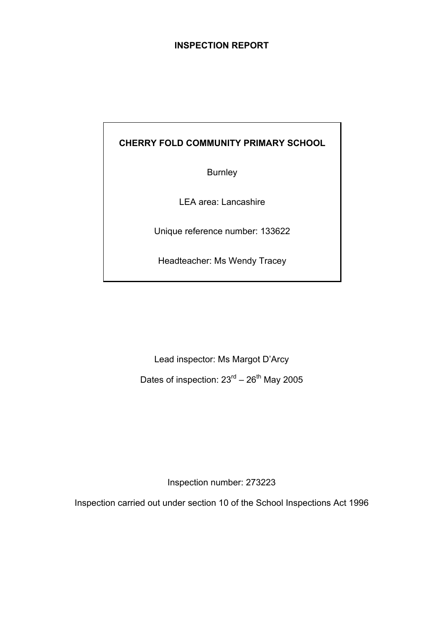### **INSPECTION REPORT**

# **CHERRY FOLD COMMUNITY PRIMARY SCHOOL**

Burnley

LEA area: Lancashire

Unique reference number: 133622

Headteacher: Ms Wendy Tracey

Lead inspector: Ms Margot D'Arcy

Dates of inspection:  $23<sup>rd</sup> - 26<sup>th</sup>$  May 2005

Inspection number: 273223

Inspection carried out under section 10 of the School Inspections Act 1996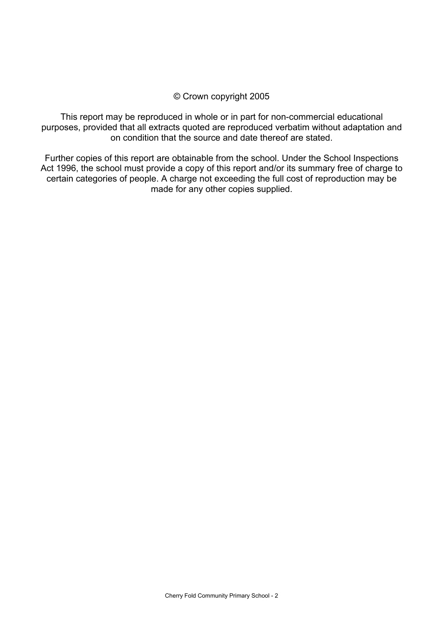#### © Crown copyright 2005

This report may be reproduced in whole or in part for non-commercial educational purposes, provided that all extracts quoted are reproduced verbatim without adaptation and on condition that the source and date thereof are stated.

Further copies of this report are obtainable from the school. Under the School Inspections Act 1996, the school must provide a copy of this report and/or its summary free of charge to certain categories of people. A charge not exceeding the full cost of reproduction may be made for any other copies supplied.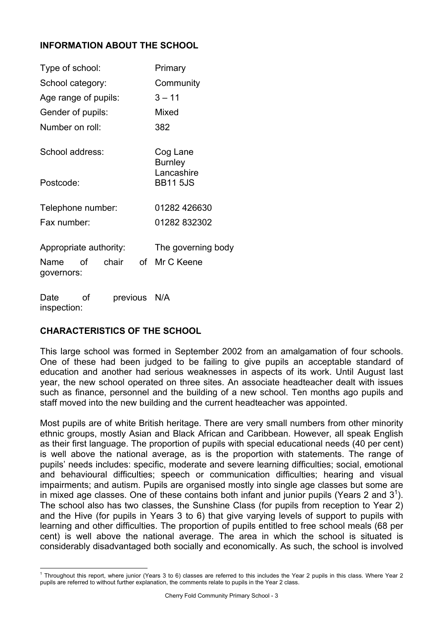# **INFORMATION ABOUT THE SCHOOL**

| Type of school:                           | Primary                       |  |
|-------------------------------------------|-------------------------------|--|
| School category:                          | Community                     |  |
| Age range of pupils:                      | $3 - 11$                      |  |
| Gender of pupils:                         | Mixed                         |  |
| Number on roll:                           | 382                           |  |
| School address:                           | Cog Lane<br><b>Burnley</b>    |  |
| Postcode:                                 | Lancashire<br><b>BB11 5JS</b> |  |
| Telephone number:                         | 01282 426630                  |  |
| Fax number:                               | 01282 832302                  |  |
| Appropriate authority:                    | The governing body            |  |
| Name of chair of Mr C Keene<br>governors: |                               |  |
|                                           |                               |  |

Date of previous N/A inspection:

# **CHARACTERISTICS OF THE SCHOOL**

This large school was formed in September 2002 from an amalgamation of four schools. One of these had been judged to be failing to give pupils an acceptable standard of education and another had serious weaknesses in aspects of its work. Until August last year, the new school operated on three sites. An associate headteacher dealt with issues such as finance, personnel and the building of a new school. Ten months ago pupils and staff moved into the new building and the current headteacher was appointed.

Most pupils are of white British heritage. There are very small numbers from other minority ethnic groups, mostly Asian and Black African and Caribbean. However, all speak English as their first language. The proportion of pupils with special educational needs (40 per cent) is well above the national average, as is the proportion with statements. The range of pupils' needs includes: specific, moderate and severe learning difficulties; social, emotional and behavioural difficulties; speech or communication difficulties; hearing and visual impairments; and autism. Pupils are organised mostly into single age classes but some are in mixed age classes. One of these contains both infant and junior pupils (Years 2 and  $3<sup>1</sup>$ ). The school also has two classes, the Sunshine Class (for pupils from reception to Year 2) and the Hive (for pupils in Years 3 to 6) that give varying levels of support to pupils with learning and other difficulties. The proportion of pupils entitled to free school meals (68 per cent) is well above the national average. The area in which the school is situated is considerably disadvantaged both socially and economically. As such, the school is involved

 1 Throughout this report, where junior (Years 3 to 6) classes are referred to this includes the Year 2 pupils in this class. Where Year 2 pupils are referred to without further explanation, the comments relate to pupils in the Year 2 class.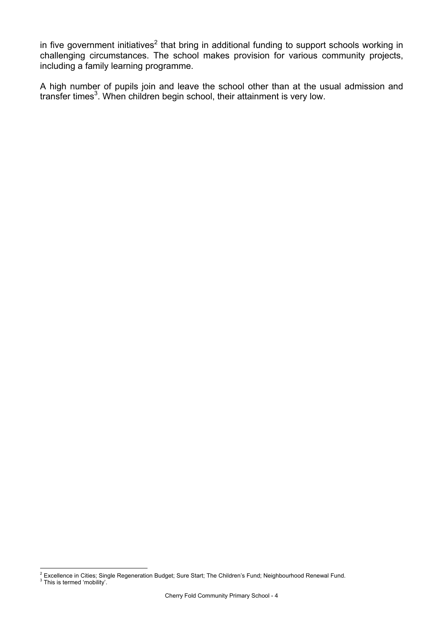in five government initiatives<sup>2</sup> that bring in additional funding to support schools working in challenging circumstances. The school makes provision for various community projects, including a family learning programme.

A high number of pupils join and leave the school other than at the usual admission and transfer times<sup>3</sup>. When children begin school, their attainment is very low.

<sup>2&</sup>lt;br><sup>2</sup> Excellence in Cities; Single Regeneration Budget; Sure Start; The Children's Fund; Neighbourhood Renewal Fund.

<sup>&</sup>lt;sup>3</sup> This is termed 'mobility'.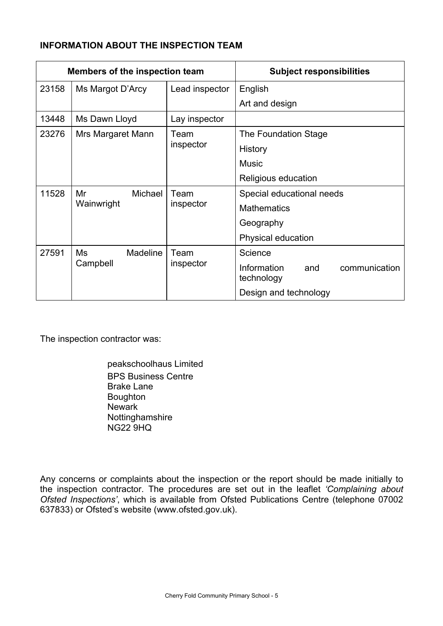# **INFORMATION ABOUT THE INSPECTION TEAM**

| Members of the inspection team |                       |                | <b>Subject responsibilities</b>                   |
|--------------------------------|-----------------------|----------------|---------------------------------------------------|
| 23158                          | Ms Margot D'Arcy      | Lead inspector | English                                           |
|                                |                       |                | Art and design                                    |
| 13448                          | Ms Dawn Lloyd         | Lay inspector  |                                                   |
| 23276                          | Mrs Margaret Mann     | Team           | The Foundation Stage                              |
|                                |                       | inspector      | History                                           |
|                                |                       |                | <b>Music</b>                                      |
|                                |                       |                | Religious education                               |
| 11528                          | Mr<br>Michael         | Team           | Special educational needs                         |
|                                | Wainwright            | inspector      | <b>Mathematics</b>                                |
|                                |                       |                | Geography                                         |
|                                |                       |                | Physical education                                |
| 27591                          | <b>Madeline</b><br>Ms | Team           | Science                                           |
|                                | Campbell              | inspector      | Information<br>communication<br>and<br>technology |
|                                |                       |                | Design and technology                             |

The inspection contractor was:

 peakschoolhaus Limited BPS Business Centre Brake Lane **Boughton** Newark Nottinghamshire NG22 9HQ

Any concerns or complaints about the inspection or the report should be made initially to the inspection contractor. The procedures are set out in the leaflet *'Complaining about Ofsted Inspections'*, which is available from Ofsted Publications Centre (telephone 07002 637833) or Ofsted's website (www.ofsted.gov.uk).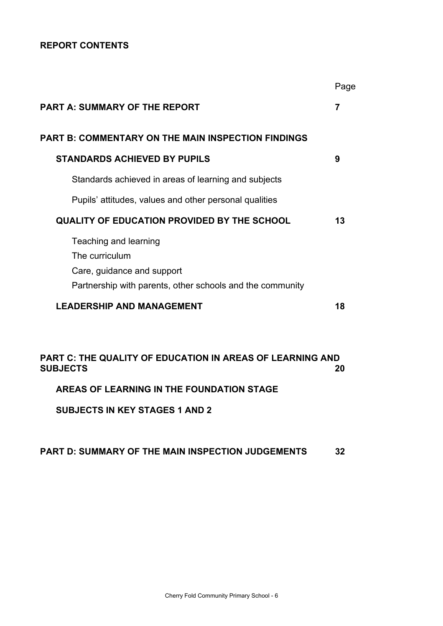#### **REPORT CONTENTS**

|                                                                                                                                    | Page           |
|------------------------------------------------------------------------------------------------------------------------------------|----------------|
| <b>PART A: SUMMARY OF THE REPORT</b>                                                                                               | $\overline{7}$ |
| PART B: COMMENTARY ON THE MAIN INSPECTION FINDINGS                                                                                 |                |
| <b>STANDARDS ACHIEVED BY PUPILS</b>                                                                                                | 9              |
| Standards achieved in areas of learning and subjects                                                                               |                |
| Pupils' attitudes, values and other personal qualities                                                                             |                |
| <b>QUALITY OF EDUCATION PROVIDED BY THE SCHOOL</b>                                                                                 | 13             |
| Teaching and learning<br>The curriculum<br>Care, guidance and support<br>Partnership with parents, other schools and the community |                |
| <b>LEADERSHIP AND MANAGEMENT</b>                                                                                                   | 18             |
| PART C: THE QUALITY OF EDUCATION IN AREAS OF LEARNING AND<br><b>SUBJECTS</b>                                                       | 20             |

**AREAS OF LEARNING IN THE FOUNDATION STAGE** 

**SUBJECTS IN KEY STAGES 1 AND 2**

#### **PART D: SUMMARY OF THE MAIN INSPECTION JUDGEMENTS 32**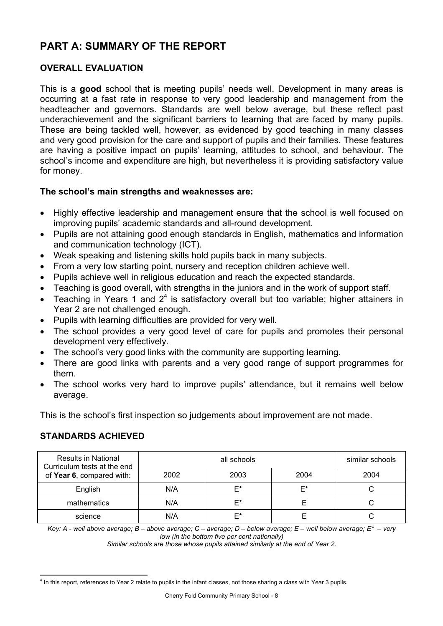# **PART A: SUMMARY OF THE REPORT**

# **OVERALL EVALUATION**

This is a **good** school that is meeting pupils' needs well. Development in many areas is occurring at a fast rate in response to very good leadership and management from the headteacher and governors. Standards are well below average, but these reflect past underachievement and the significant barriers to learning that are faced by many pupils. These are being tackled well, however, as evidenced by good teaching in many classes and very good provision for the care and support of pupils and their families. These features are having a positive impact on pupils' learning, attitudes to school, and behaviour. The school's income and expenditure are high, but nevertheless it is providing satisfactory value for money.

#### **The school's main strengths and weaknesses are:**

- Highly effective leadership and management ensure that the school is well focused on improving pupils' academic standards and all-round development.
- Pupils are not attaining good enough standards in English, mathematics and information and communication technology (ICT).
- Weak speaking and listening skills hold pupils back in many subjects.
- From a very low starting point, nursery and reception children achieve well.
- Pupils achieve well in religious education and reach the expected standards.
- Teaching is good overall, with strengths in the juniors and in the work of support staff.
- Teaching in Years 1 and  $2<sup>4</sup>$  is satisfactory overall but too variable; higher attainers in Year 2 are not challenged enough.
- Pupils with learning difficulties are provided for very well.
- The school provides a very good level of care for pupils and promotes their personal development very effectively.
- The school's very good links with the community are supporting learning.
- There are good links with parents and a very good range of support programmes for them.
- The school works very hard to improve pupils' attendance, but it remains well below average.

This is the school's first inspection so judgements about improvement are not made.

# **STANDARDS ACHIEVED**

| <b>Results in National</b><br>Curriculum tests at the end |      | similar schools |    |  |
|-----------------------------------------------------------|------|-----------------|----|--|
| of Year 6, compared with:                                 | 2002 | 2004            |    |  |
| English                                                   | N/A  | F*              | F* |  |
| mathematics                                               | N/A  | F*              |    |  |
| science                                                   | N/A  | F*              |    |  |

*Key: A - well above average; B – above average; C – average; D – below average; E – well below average; E\* – very low (in the bottom five per cent nationally)* 

*Similar schools are those whose pupils attained similarly at the end of Year 2.* 

l 4 In this report, references to Year 2 relate to pupils in the infant classes, not those sharing a class with Year 3 pupils.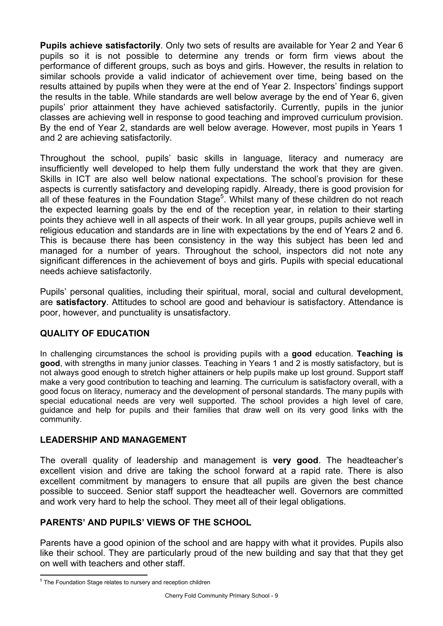**Pupils achieve satisfactorily**. Only two sets of results are available for Year 2 and Year 6 pupils so it is not possible to determine any trends or form firm views about the performance of different groups, such as boys and girls. However, the results in relation to similar schools provide a valid indicator of achievement over time, being based on the results attained by pupils when they were at the end of Year 2. Inspectors' findings support the results in the table. While standards are well below average by the end of Year 6, given pupils' prior attainment they have achieved satisfactorily. Currently, pupils in the junior classes are achieving well in response to good teaching and improved curriculum provision. By the end of Year 2, standards are well below average. However, most pupils in Years 1 and 2 are achieving satisfactorily.

Throughout the school, pupils' basic skills in language, literacy and numeracy are insufficiently well developed to help them fully understand the work that they are given. Skills in ICT are also well below national expectations. The school's provision for these aspects is currently satisfactory and developing rapidly. Already, there is good provision for all of these features in the Foundation Stage<sup>5</sup>. Whilst many of these children do not reach the expected learning goals by the end of the reception year, in relation to their starting points they achieve well in all aspects of their work. In all year groups, pupils achieve well in religious education and standards are in line with expectations by the end of Years 2 and 6. This is because there has been consistency in the way this subject has been led and managed for a number of years. Throughout the school, inspectors did not note any significant differences in the achievement of boys and girls. Pupils with special educational needs achieve satisfactorily.

Pupils' personal qualities, including their spiritual, moral, social and cultural development, are **satisfactory**. Attitudes to school are good and behaviour is satisfactory. Attendance is poor, however, and punctuality is unsatisfactory.

# **QUALITY OF EDUCATION**

In challenging circumstances the school is providing pupils with a **good** education. **Teaching is good**, with strengths in many junior classes. Teaching in Years 1 and 2 is mostly satisfactory, but is not always good enough to stretch higher attainers or help pupils make up lost ground. Support staff make a very good contribution to teaching and learning. The curriculum is satisfactory overall, with a good focus on literacy, numeracy and the development of personal standards. The many pupils with special educational needs are very well supported. The school provides a high level of care, guidance and help for pupils and their families that draw well on its very good links with the community.

# **LEADERSHIP AND MANAGEMENT**

The overall quality of leadership and management is **very good**. The headteacher's excellent vision and drive are taking the school forward at a rapid rate. There is also excellent commitment by managers to ensure that all pupils are given the best chance possible to succeed. Senior staff support the headteacher well. Governors are committed and work very hard to help the school. They meet all of their legal obligations.

# **PARENTS' AND PUPILS' VIEWS OF THE SCHOOL**

Parents have a good opinion of the school and are happy with what it provides. Pupils also like their school. They are particularly proud of the new building and say that that they get on well with teachers and other staff.

l <sup>5</sup> The Foundation Stage relates to nursery and reception children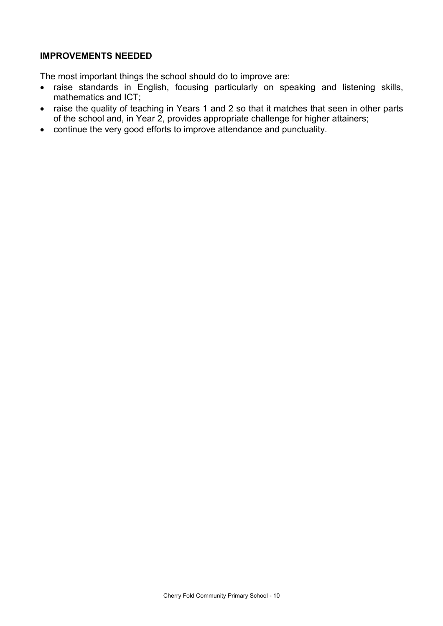### **IMPROVEMENTS NEEDED**

The most important things the school should do to improve are:

- raise standards in English, focusing particularly on speaking and listening skills, mathematics and ICT;
- raise the quality of teaching in Years 1 and 2 so that it matches that seen in other parts of the school and, in Year 2, provides appropriate challenge for higher attainers;
- continue the very good efforts to improve attendance and punctuality.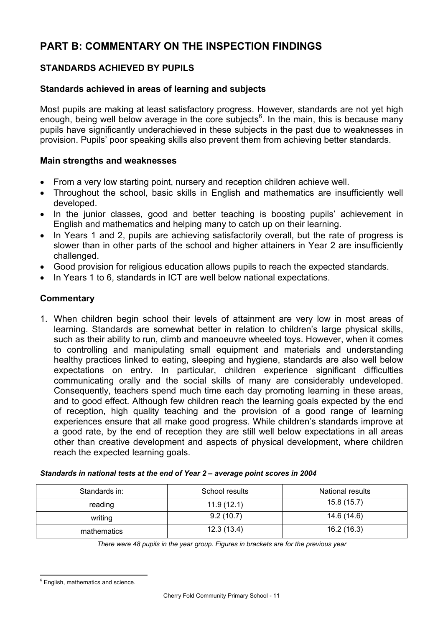# **PART B: COMMENTARY ON THE INSPECTION FINDINGS**

# **STANDARDS ACHIEVED BY PUPILS**

#### **Standards achieved in areas of learning and subjects**

Most pupils are making at least satisfactory progress. However, standards are not yet high enough, being well below average in the core subjects<sup>6</sup>. In the main, this is because many pupils have significantly underachieved in these subjects in the past due to weaknesses in provision. Pupils' poor speaking skills also prevent them from achieving better standards.

#### **Main strengths and weaknesses**

- From a very low starting point, nursery and reception children achieve well.
- Throughout the school, basic skills in English and mathematics are insufficiently well developed.
- In the junior classes, good and better teaching is boosting pupils' achievement in English and mathematics and helping many to catch up on their learning.
- In Years 1 and 2, pupils are achieving satisfactorily overall, but the rate of progress is slower than in other parts of the school and higher attainers in Year 2 are insufficiently challenged.
- Good provision for religious education allows pupils to reach the expected standards.
- In Years 1 to 6, standards in ICT are well below national expectations.

#### **Commentary**

1. When children begin school their levels of attainment are very low in most areas of learning. Standards are somewhat better in relation to children's large physical skills, such as their ability to run, climb and manoeuvre wheeled toys. However, when it comes to controlling and manipulating small equipment and materials and understanding healthy practices linked to eating, sleeping and hygiene, standards are also well below expectations on entry. In particular, children experience significant difficulties communicating orally and the social skills of many are considerably undeveloped. Consequently, teachers spend much time each day promoting learning in these areas, and to good effect. Although few children reach the learning goals expected by the end of reception, high quality teaching and the provision of a good range of learning experiences ensure that all make good progress. While children's standards improve at a good rate, by the end of reception they are still well below expectations in all areas other than creative development and aspects of physical development, where children reach the expected learning goals.

| Standards in: | School results | National results |  |
|---------------|----------------|------------------|--|
| reading       | 11.9(12.1)     | 15.8(15.7)       |  |
| writing       | 9.2(10.7)      | 14.6 (14.6)      |  |
| mathematics   | 12.3(13.4)     | 16.2(16.3)       |  |

| Standards in national tests at the end of Year 2 - average point scores in 2004 |  |  |
|---------------------------------------------------------------------------------|--|--|
|                                                                                 |  |  |

*There were 48 pupils in the year group. Figures in brackets are for the previous year* 

l  $6$  English, mathematics and science.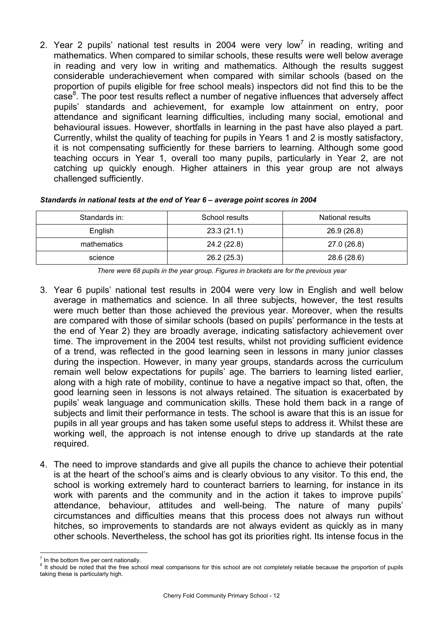2. Year 2 pupils' national test results in 2004 were very low<sup>7</sup> in reading, writing and mathematics. When compared to similar schools, these results were well below average in reading and very low in writing and mathematics. Although the results suggest considerable underachievement when compared with similar schools (based on the proportion of pupils eligible for free school meals) inspectors did not find this to be the  $case<sup>8</sup>$ . The poor test results reflect a number of negative influences that adversely affect pupils' standards and achievement, for example low attainment on entry, poor attendance and significant learning difficulties, including many social, emotional and behavioural issues. However, shortfalls in learning in the past have also played a part. Currently, whilst the quality of teaching for pupils in Years 1 and 2 is mostly satisfactory, it is not compensating sufficiently for these barriers to learning. Although some good teaching occurs in Year 1, overall too many pupils, particularly in Year 2, are not catching up quickly enough. Higher attainers in this year group are not always challenged sufficiently.

| Standards in: | School results | National results |
|---------------|----------------|------------------|
| English       | 23.3(21.1)     | 26.9 (26.8)      |
| mathematics   | 24.2 (22.8)    | 27.0 (26.8)      |
| science       | 26.2(25.3)     | 28.6 (28.6)      |

*Standards in national tests at the end of Year 6 – average point scores in 2004* 

*There were 68 pupils in the year group. Figures in brackets are for the previous year* 

- 3. Year 6 pupils' national test results in 2004 were very low in English and well below average in mathematics and science. In all three subjects, however, the test results were much better than those achieved the previous year. Moreover, when the results are compared with those of similar schools (based on pupils' performance in the tests at the end of Year 2) they are broadly average, indicating satisfactory achievement over time. The improvement in the 2004 test results, whilst not providing sufficient evidence of a trend, was reflected in the good learning seen in lessons in many junior classes during the inspection. However, in many year groups, standards across the curriculum remain well below expectations for pupils' age. The barriers to learning listed earlier, along with a high rate of mobility, continue to have a negative impact so that, often, the good learning seen in lessons is not always retained. The situation is exacerbated by pupils' weak language and communication skills. These hold them back in a range of subjects and limit their performance in tests. The school is aware that this is an issue for pupils in all year groups and has taken some useful steps to address it. Whilst these are working well, the approach is not intense enough to drive up standards at the rate required.
- 4. The need to improve standards and give all pupils the chance to achieve their potential is at the heart of the school's aims and is clearly obvious to any visitor. To this end, the school is working extremely hard to counteract barriers to learning, for instance in its work with parents and the community and in the action it takes to improve pupils' attendance, behaviour, attitudes and well-being. The nature of many pupils' circumstances and difficulties means that this process does not always run without hitches, so improvements to standards are not always evident as quickly as in many other schools. Nevertheless, the school has got its priorities right. Its intense focus in the

l  $<sup>7</sup>$  In the bottom five per cent nationally.</sup>

<sup>&</sup>lt;sup>8</sup> It should be noted that the free school meal comparisons for this school are not completely reliable because the proportion of pupils taking these is particularly high.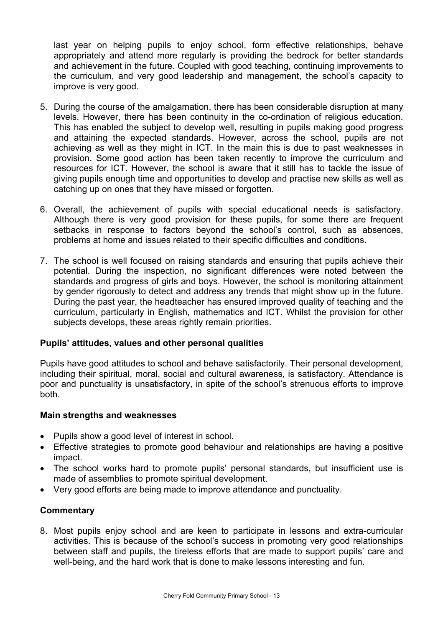last year on helping pupils to enjoy school, form effective relationships, behave appropriately and attend more regularly is providing the bedrock for better standards and achievement in the future. Coupled with good teaching, continuing improvements to the curriculum, and very good leadership and management, the school's capacity to improve is very good.

- 5. During the course of the amalgamation, there has been considerable disruption at many levels. However, there has been continuity in the co-ordination of religious education. This has enabled the subject to develop well, resulting in pupils making good progress and attaining the expected standards. However, across the school, pupils are not achieving as well as they might in ICT. In the main this is due to past weaknesses in provision. Some good action has been taken recently to improve the curriculum and resources for ICT. However, the school is aware that it still has to tackle the issue of giving pupils enough time and opportunities to develop and practise new skills as well as catching up on ones that they have missed or forgotten.
- 6. Overall, the achievement of pupils with special educational needs is satisfactory. Although there is very good provision for these pupils, for some there are frequent setbacks in response to factors beyond the school's control, such as absences, problems at home and issues related to their specific difficulties and conditions.
- 7. The school is well focused on raising standards and ensuring that pupils achieve their potential. During the inspection, no significant differences were noted between the standards and progress of girls and boys. However, the school is monitoring attainment by gender rigorously to detect and address any trends that might show up in the future. During the past year, the headteacher has ensured improved quality of teaching and the curriculum, particularly in English, mathematics and ICT. Whilst the provision for other subjects develops, these areas rightly remain priorities.

#### **Pupils' attitudes, values and other personal qualities**

Pupils have good attitudes to school and behave satisfactorily. Their personal development, including their spiritual, moral, social and cultural awareness, is satisfactory. Attendance is poor and punctuality is unsatisfactory, in spite of the school's strenuous efforts to improve both.

#### **Main strengths and weaknesses**

- Pupils show a good level of interest in school.
- Effective strategies to promote good behaviour and relationships are having a positive impact.
- The school works hard to promote pupils' personal standards, but insufficient use is made of assemblies to promote spiritual development.
- Very good efforts are being made to improve attendance and punctuality.

#### **Commentary**

8. Most pupils enjoy school and are keen to participate in lessons and extra-curricular activities. This is because of the school's success in promoting very good relationships between staff and pupils, the tireless efforts that are made to support pupils' care and well-being, and the hard work that is done to make lessons interesting and fun.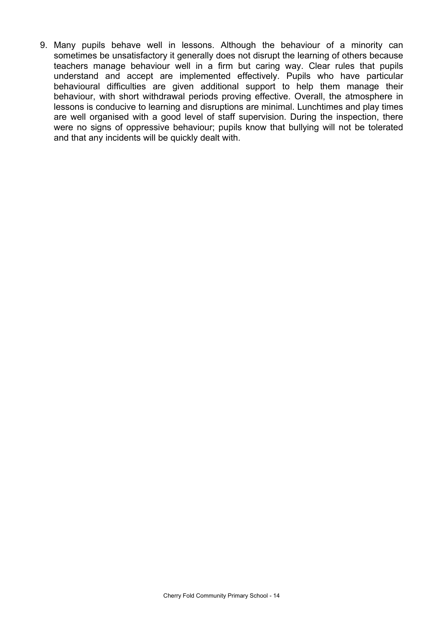9. Many pupils behave well in lessons. Although the behaviour of a minority can sometimes be unsatisfactory it generally does not disrupt the learning of others because teachers manage behaviour well in a firm but caring way. Clear rules that pupils understand and accept are implemented effectively. Pupils who have particular behavioural difficulties are given additional support to help them manage their behaviour, with short withdrawal periods proving effective. Overall, the atmosphere in lessons is conducive to learning and disruptions are minimal. Lunchtimes and play times are well organised with a good level of staff supervision. During the inspection, there were no signs of oppressive behaviour; pupils know that bullying will not be tolerated and that any incidents will be quickly dealt with.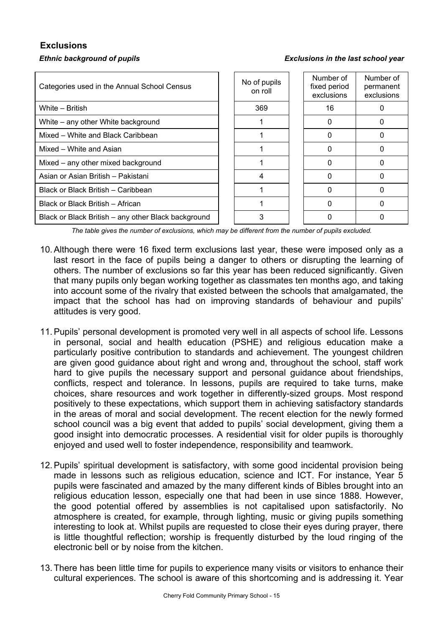# **Exclusions**

#### *Ethnic background of pupils Exclusions in the last school year*

| Categories used in the Annual School Census         | No of pupils<br>on roll | Number of<br>fixed period<br>exclusions | Number of<br>permanent<br>exclusions |
|-----------------------------------------------------|-------------------------|-----------------------------------------|--------------------------------------|
| White - British                                     | 369                     | 16                                      |                                      |
| White – any other White background                  |                         | $\Omega$                                | 0                                    |
| Mixed – White and Black Caribbean                   |                         | 0                                       | 0                                    |
| Mixed - White and Asian                             |                         |                                         |                                      |
| Mixed – any other mixed background                  |                         |                                         |                                      |
| Asian or Asian British - Pakistani                  | 4                       | <sup>0</sup>                            | 0                                    |
| Black or Black British - Caribbean                  |                         | <sup>0</sup>                            |                                      |
| Black or Black British – African                    |                         |                                         | 0                                    |
| Black or Black British - any other Black background | 3                       | O                                       | 0                                    |

*The table gives the number of exclusions, which may be different from the number of pupils excluded.*

- 10. Although there were 16 fixed term exclusions last year, these were imposed only as a last resort in the face of pupils being a danger to others or disrupting the learning of others. The number of exclusions so far this year has been reduced significantly. Given that many pupils only began working together as classmates ten months ago, and taking into account some of the rivalry that existed between the schools that amalgamated, the impact that the school has had on improving standards of behaviour and pupils' attitudes is very good.
- 11. Pupils' personal development is promoted very well in all aspects of school life. Lessons in personal, social and health education (PSHE) and religious education make a particularly positive contribution to standards and achievement. The youngest children are given good guidance about right and wrong and, throughout the school, staff work hard to give pupils the necessary support and personal guidance about friendships, conflicts, respect and tolerance. In lessons, pupils are required to take turns, make choices, share resources and work together in differently-sized groups. Most respond positively to these expectations, which support them in achieving satisfactory standards in the areas of moral and social development. The recent election for the newly formed school council was a big event that added to pupils' social development, giving them a good insight into democratic processes. A residential visit for older pupils is thoroughly enjoyed and used well to foster independence, responsibility and teamwork.
- 12. Pupils' spiritual development is satisfactory, with some good incidental provision being made in lessons such as religious education, science and ICT. For instance, Year 5 pupils were fascinated and amazed by the many different kinds of Bibles brought into an religious education lesson, especially one that had been in use since 1888. However, the good potential offered by assemblies is not capitalised upon satisfactorily. No atmosphere is created, for example, through lighting, music or giving pupils something interesting to look at. Whilst pupils are requested to close their eyes during prayer, there is little thoughtful reflection; worship is frequently disturbed by the loud ringing of the electronic bell or by noise from the kitchen.
- 13. There has been little time for pupils to experience many visits or visitors to enhance their cultural experiences. The school is aware of this shortcoming and is addressing it. Year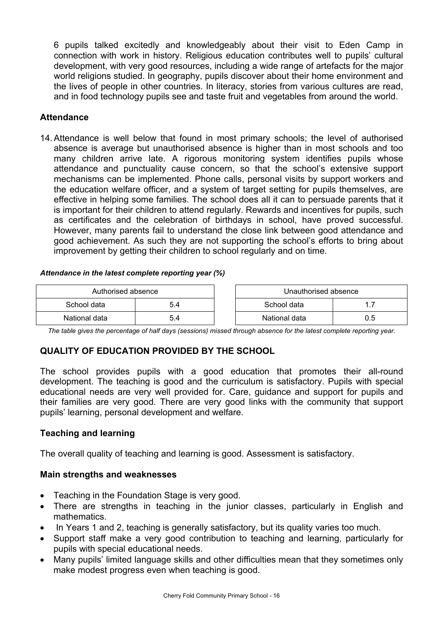6 pupils talked excitedly and knowledgeably about their visit to Eden Camp in connection with work in history. Religious education contributes well to pupils' cultural development, with very good resources, including a wide range of artefacts for the major world religions studied. In geography, pupils discover about their home environment and the lives of people in other countries. In literacy, stories from various cultures are read, and in food technology pupils see and taste fruit and vegetables from around the world.

# **Attendance**

14. Attendance is well below that found in most primary schools; the level of authorised absence is average but unauthorised absence is higher than in most schools and too many children arrive late. A rigorous monitoring system identifies pupils whose attendance and punctuality cause concern, so that the school's extensive support mechanisms can be implemented. Phone calls, personal visits by support workers and the education welfare officer, and a system of target setting for pupils themselves, are effective in helping some families. The school does all it can to persuade parents that it is important for their children to attend regularly. Rewards and incentives for pupils, such as certificates and the celebration of birthdays in school, have proved successful. However, many parents fail to understand the close link between good attendance and good achievement. As such they are not supporting the school's efforts to bring about improvement by getting their children to school regularly and on time.

#### *Attendance in the latest complete reporting year (%)*

| Authorised absence |     |  | Unauthorised absence |  |
|--------------------|-----|--|----------------------|--|
| School data        | 5.4 |  | School data          |  |
| National data      | 5.4 |  | National data        |  |

*The table gives the percentage of half days (sessions) missed through absence for the latest complete reporting year.*

# **QUALITY OF EDUCATION PROVIDED BY THE SCHOOL**

The school provides pupils with a good education that promotes their all-round development. The teaching is good and the curriculum is satisfactory. Pupils with special educational needs are very well provided for. Care, guidance and support for pupils and their families are very good. There are very good links with the community that support pupils' learning, personal development and welfare.

# **Teaching and learning**

The overall quality of teaching and learning is good. Assessment is satisfactory.

# **Main strengths and weaknesses**

- Teaching in the Foundation Stage is very good.
- There are strengths in teaching in the junior classes, particularly in English and mathematics.
- In Years 1 and 2, teaching is generally satisfactory, but its quality varies too much.
- Support staff make a very good contribution to teaching and learning, particularly for pupils with special educational needs.
- Many pupils' limited language skills and other difficulties mean that they sometimes only make modest progress even when teaching is good.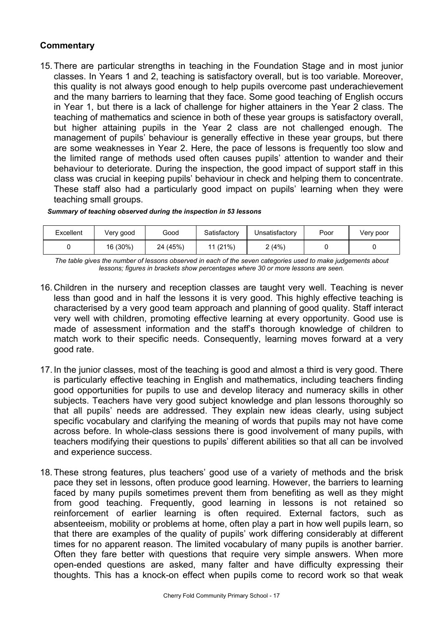#### **Commentary**

15. There are particular strengths in teaching in the Foundation Stage and in most junior classes. In Years 1 and 2, teaching is satisfactory overall, but is too variable. Moreover, this quality is not always good enough to help pupils overcome past underachievement and the many barriers to learning that they face. Some good teaching of English occurs in Year 1, but there is a lack of challenge for higher attainers in the Year 2 class. The teaching of mathematics and science in both of these year groups is satisfactory overall, but higher attaining pupils in the Year 2 class are not challenged enough. The management of pupils' behaviour is generally effective in these year groups, but there are some weaknesses in Year 2. Here, the pace of lessons is frequently too slow and the limited range of methods used often causes pupils' attention to wander and their behaviour to deteriorate. During the inspection, the good impact of support staff in this class was crucial in keeping pupils' behaviour in check and helping them to concentrate. These staff also had a particularly good impact on pupils' learning when they were teaching small groups.

#### *Summary of teaching observed during the inspection in 53 lessons*

| Excellent | Very good | Good     | Satisfactory | Unsatisfactory | Poor | Very poor |
|-----------|-----------|----------|--------------|----------------|------|-----------|
|           | 16 (30%)  | 24 (45%) | 11 (21%)     | 2 (4%)         |      |           |

*The table gives the number of lessons observed in each of the seven categories used to make judgements about lessons; figures in brackets show percentages where 30 or more lessons are seen.* 

- 16. Children in the nursery and reception classes are taught very well. Teaching is never less than good and in half the lessons it is very good. This highly effective teaching is characterised by a very good team approach and planning of good quality. Staff interact very well with children, promoting effective learning at every opportunity. Good use is made of assessment information and the staff's thorough knowledge of children to match work to their specific needs. Consequently, learning moves forward at a very good rate.
- 17. In the junior classes, most of the teaching is good and almost a third is very good. There is particularly effective teaching in English and mathematics, including teachers finding good opportunities for pupils to use and develop literacy and numeracy skills in other subjects. Teachers have very good subject knowledge and plan lessons thoroughly so that all pupils' needs are addressed. They explain new ideas clearly, using subject specific vocabulary and clarifying the meaning of words that pupils may not have come across before. In whole-class sessions there is good involvement of many pupils, with teachers modifying their questions to pupils' different abilities so that all can be involved and experience success.
- 18. These strong features, plus teachers' good use of a variety of methods and the brisk pace they set in lessons, often produce good learning. However, the barriers to learning faced by many pupils sometimes prevent them from benefiting as well as they might from good teaching. Frequently, good learning in lessons is not retained so reinforcement of earlier learning is often required. External factors, such as absenteeism, mobility or problems at home, often play a part in how well pupils learn, so that there are examples of the quality of pupils' work differing considerably at different times for no apparent reason. The limited vocabulary of many pupils is another barrier. Often they fare better with questions that require very simple answers. When more open-ended questions are asked, many falter and have difficulty expressing their thoughts. This has a knock-on effect when pupils come to record work so that weak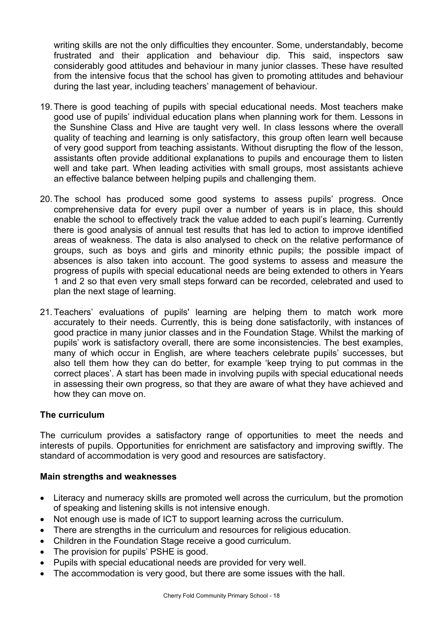writing skills are not the only difficulties they encounter. Some, understandably, become frustrated and their application and behaviour dip. This said, inspectors saw considerably good attitudes and behaviour in many junior classes. These have resulted from the intensive focus that the school has given to promoting attitudes and behaviour during the last year, including teachers' management of behaviour.

- 19. There is good teaching of pupils with special educational needs. Most teachers make good use of pupils' individual education plans when planning work for them. Lessons in the Sunshine Class and Hive are taught very well. In class lessons where the overall quality of teaching and learning is only satisfactory, this group often learn well because of very good support from teaching assistants. Without disrupting the flow of the lesson, assistants often provide additional explanations to pupils and encourage them to listen well and take part. When leading activities with small groups, most assistants achieve an effective balance between helping pupils and challenging them.
- 20. The school has produced some good systems to assess pupils' progress. Once comprehensive data for every pupil over a number of years is in place, this should enable the school to effectively track the value added to each pupil's learning. Currently there is good analysis of annual test results that has led to action to improve identified areas of weakness. The data is also analysed to check on the relative performance of groups, such as boys and girls and minority ethnic pupils; the possible impact of absences is also taken into account. The good systems to assess and measure the progress of pupils with special educational needs are being extended to others in Years 1 and 2 so that even very small steps forward can be recorded, celebrated and used to plan the next stage of learning.
- 21. Teachers' evaluations of pupils' learning are helping them to match work more accurately to their needs. Currently, this is being done satisfactorily, with instances of good practice in many junior classes and in the Foundation Stage. Whilst the marking of pupils' work is satisfactory overall, there are some inconsistencies. The best examples, many of which occur in English, are where teachers celebrate pupils' successes, but also tell them how they can do better, for example 'keep trying to put commas in the correct places'. A start has been made in involving pupils with special educational needs in assessing their own progress, so that they are aware of what they have achieved and how they can move on.

#### **The curriculum**

The curriculum provides a satisfactory range of opportunities to meet the needs and interests of pupils. Opportunities for enrichment are satisfactory and improving swiftly. The standard of accommodation is very good and resources are satisfactory.

#### **Main strengths and weaknesses**

- Literacy and numeracy skills are promoted well across the curriculum, but the promotion of speaking and listening skills is not intensive enough.
- Not enough use is made of ICT to support learning across the curriculum.
- There are strengths in the curriculum and resources for religious education.
- Children in the Foundation Stage receive a good curriculum.
- The provision for pupils' PSHE is good.
- Pupils with special educational needs are provided for very well.
- The accommodation is very good, but there are some issues with the hall.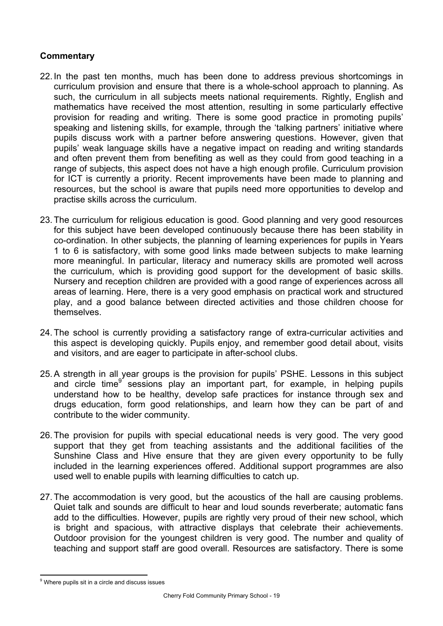- 22. In the past ten months, much has been done to address previous shortcomings in curriculum provision and ensure that there is a whole-school approach to planning. As such, the curriculum in all subjects meets national requirements. Rightly, English and mathematics have received the most attention, resulting in some particularly effective provision for reading and writing. There is some good practice in promoting pupils' speaking and listening skills, for example, through the 'talking partners' initiative where pupils discuss work with a partner before answering questions. However, given that pupils' weak language skills have a negative impact on reading and writing standards and often prevent them from benefiting as well as they could from good teaching in a range of subjects, this aspect does not have a high enough profile. Curriculum provision for ICT is currently a priority. Recent improvements have been made to planning and resources, but the school is aware that pupils need more opportunities to develop and practise skills across the curriculum.
- 23. The curriculum for religious education is good. Good planning and very good resources for this subject have been developed continuously because there has been stability in co-ordination. In other subjects, the planning of learning experiences for pupils in Years 1 to 6 is satisfactory, with some good links made between subjects to make learning more meaningful. In particular, literacy and numeracy skills are promoted well across the curriculum, which is providing good support for the development of basic skills. Nursery and reception children are provided with a good range of experiences across all areas of learning. Here, there is a very good emphasis on practical work and structured play, and a good balance between directed activities and those children choose for themselves.
- 24. The school is currently providing a satisfactory range of extra-curricular activities and this aspect is developing quickly. Pupils enjoy, and remember good detail about, visits and visitors, and are eager to participate in after-school clubs.
- 25. A strength in all year groups is the provision for pupils' PSHE. Lessons in this subject and circle time<sup>9</sup> sessions play an important part, for example, in helping pupils understand how to be healthy, develop safe practices for instance through sex and drugs education, form good relationships, and learn how they can be part of and contribute to the wider community.
- 26. The provision for pupils with special educational needs is very good. The very good support that they get from teaching assistants and the additional facilities of the Sunshine Class and Hive ensure that they are given every opportunity to be fully included in the learning experiences offered. Additional support programmes are also used well to enable pupils with learning difficulties to catch up.
- 27. The accommodation is very good, but the acoustics of the hall are causing problems. Quiet talk and sounds are difficult to hear and loud sounds reverberate; automatic fans add to the difficulties. However, pupils are rightly very proud of their new school, which is bright and spacious, with attractive displays that celebrate their achievements. Outdoor provision for the youngest children is very good. The number and quality of teaching and support staff are good overall. Resources are satisfactory. There is some

l <sup>9</sup> Where pupils sit in a circle and discuss issues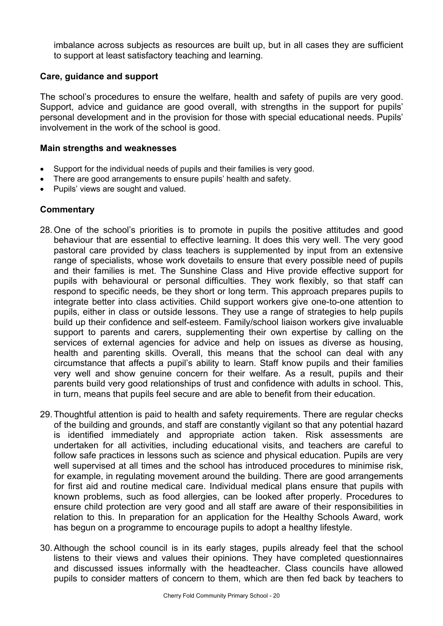imbalance across subjects as resources are built up, but in all cases they are sufficient to support at least satisfactory teaching and learning.

#### **Care, guidance and support**

The school's procedures to ensure the welfare, health and safety of pupils are very good. Support, advice and guidance are good overall, with strengths in the support for pupils' personal development and in the provision for those with special educational needs. Pupils' involvement in the work of the school is good.

#### **Main strengths and weaknesses**

- Support for the individual needs of pupils and their families is very good.
- There are good arrangements to ensure pupils' health and safety.
- Pupils' views are sought and valued.

- 28. One of the school's priorities is to promote in pupils the positive attitudes and good behaviour that are essential to effective learning. It does this very well. The very good pastoral care provided by class teachers is supplemented by input from an extensive range of specialists, whose work dovetails to ensure that every possible need of pupils and their families is met. The Sunshine Class and Hive provide effective support for pupils with behavioural or personal difficulties. They work flexibly, so that staff can respond to specific needs, be they short or long term. This approach prepares pupils to integrate better into class activities. Child support workers give one-to-one attention to pupils, either in class or outside lessons. They use a range of strategies to help pupils build up their confidence and self-esteem. Family/school liaison workers give invaluable support to parents and carers, supplementing their own expertise by calling on the services of external agencies for advice and help on issues as diverse as housing, health and parenting skills. Overall, this means that the school can deal with any circumstance that affects a pupil's ability to learn. Staff know pupils and their families very well and show genuine concern for their welfare. As a result, pupils and their parents build very good relationships of trust and confidence with adults in school. This, in turn, means that pupils feel secure and are able to benefit from their education.
- 29. Thoughtful attention is paid to health and safety requirements. There are regular checks of the building and grounds, and staff are constantly vigilant so that any potential hazard is identified immediately and appropriate action taken. Risk assessments are undertaken for all activities, including educational visits, and teachers are careful to follow safe practices in lessons such as science and physical education. Pupils are very well supervised at all times and the school has introduced procedures to minimise risk, for example, in regulating movement around the building. There are good arrangements for first aid and routine medical care. Individual medical plans ensure that pupils with known problems, such as food allergies, can be looked after properly. Procedures to ensure child protection are very good and all staff are aware of their responsibilities in relation to this. In preparation for an application for the Healthy Schools Award, work has begun on a programme to encourage pupils to adopt a healthy lifestyle.
- 30. Although the school council is in its early stages, pupils already feel that the school listens to their views and values their opinions. They have completed questionnaires and discussed issues informally with the headteacher. Class councils have allowed pupils to consider matters of concern to them, which are then fed back by teachers to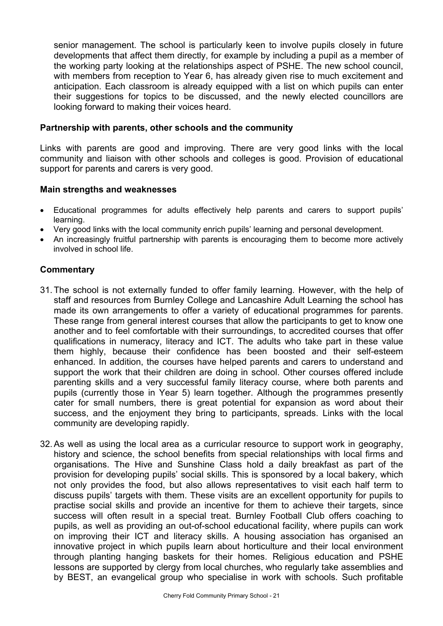senior management. The school is particularly keen to involve pupils closely in future developments that affect them directly, for example by including a pupil as a member of the working party looking at the relationships aspect of PSHE. The new school council, with members from reception to Year 6, has already given rise to much excitement and anticipation. Each classroom is already equipped with a list on which pupils can enter their suggestions for topics to be discussed, and the newly elected councillors are looking forward to making their voices heard.

#### **Partnership with parents, other schools and the community**

Links with parents are good and improving. There are very good links with the local community and liaison with other schools and colleges is good. Provision of educational support for parents and carers is very good.

#### **Main strengths and weaknesses**

- Educational programmes for adults effectively help parents and carers to support pupils' learning.
- Very good links with the local community enrich pupils' learning and personal development.
- An increasingly fruitful partnership with parents is encouraging them to become more actively involved in school life.

- 31. The school is not externally funded to offer family learning. However, with the help of staff and resources from Burnley College and Lancashire Adult Learning the school has made its own arrangements to offer a variety of educational programmes for parents. These range from general interest courses that allow the participants to get to know one another and to feel comfortable with their surroundings, to accredited courses that offer qualifications in numeracy, literacy and ICT. The adults who take part in these value them highly, because their confidence has been boosted and their self-esteem enhanced. In addition, the courses have helped parents and carers to understand and support the work that their children are doing in school. Other courses offered include parenting skills and a very successful family literacy course, where both parents and pupils (currently those in Year 5) learn together. Although the programmes presently cater for small numbers, there is great potential for expansion as word about their success, and the enjoyment they bring to participants, spreads. Links with the local community are developing rapidly.
- 32. As well as using the local area as a curricular resource to support work in geography, history and science, the school benefits from special relationships with local firms and organisations. The Hive and Sunshine Class hold a daily breakfast as part of the provision for developing pupils' social skills. This is sponsored by a local bakery, which not only provides the food, but also allows representatives to visit each half term to discuss pupils' targets with them. These visits are an excellent opportunity for pupils to practise social skills and provide an incentive for them to achieve their targets, since success will often result in a special treat. Burnley Football Club offers coaching to pupils, as well as providing an out-of-school educational facility, where pupils can work on improving their ICT and literacy skills. A housing association has organised an innovative project in which pupils learn about horticulture and their local environment through planting hanging baskets for their homes. Religious education and PSHE lessons are supported by clergy from local churches, who regularly take assemblies and by BEST, an evangelical group who specialise in work with schools. Such profitable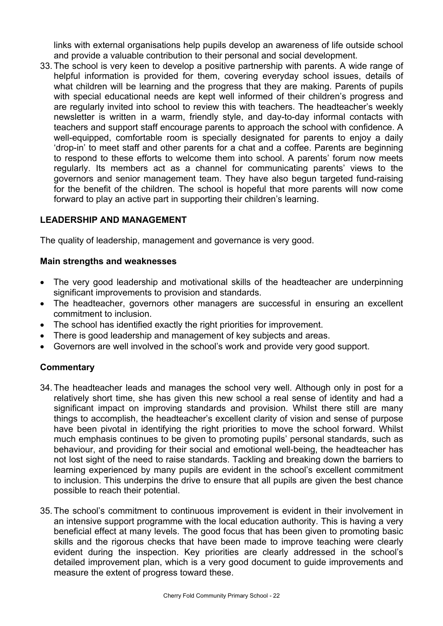links with external organisations help pupils develop an awareness of life outside school and provide a valuable contribution to their personal and social development.

33. The school is very keen to develop a positive partnership with parents. A wide range of helpful information is provided for them, covering everyday school issues, details of what children will be learning and the progress that they are making. Parents of pupils with special educational needs are kept well informed of their children's progress and are regularly invited into school to review this with teachers. The headteacher's weekly newsletter is written in a warm, friendly style, and day-to-day informal contacts with teachers and support staff encourage parents to approach the school with confidence. A well-equipped, comfortable room is specially designated for parents to enjoy a daily 'drop-in' to meet staff and other parents for a chat and a coffee. Parents are beginning to respond to these efforts to welcome them into school. A parents' forum now meets regularly. Its members act as a channel for communicating parents' views to the governors and senior management team. They have also begun targeted fund-raising for the benefit of the children. The school is hopeful that more parents will now come forward to play an active part in supporting their children's learning.

# **LEADERSHIP AND MANAGEMENT**

The quality of leadership, management and governance is very good.

#### **Main strengths and weaknesses**

- The very good leadership and motivational skills of the headteacher are underpinning significant improvements to provision and standards.
- The headteacher, governors other managers are successful in ensuring an excellent commitment to inclusion.
- The school has identified exactly the right priorities for improvement.
- There is good leadership and management of key subjects and areas.
- Governors are well involved in the school's work and provide very good support.

- 34. The headteacher leads and manages the school very well. Although only in post for a relatively short time, she has given this new school a real sense of identity and had a significant impact on improving standards and provision. Whilst there still are many things to accomplish, the headteacher's excellent clarity of vision and sense of purpose have been pivotal in identifying the right priorities to move the school forward. Whilst much emphasis continues to be given to promoting pupils' personal standards, such as behaviour, and providing for their social and emotional well-being, the headteacher has not lost sight of the need to raise standards. Tackling and breaking down the barriers to learning experienced by many pupils are evident in the school's excellent commitment to inclusion. This underpins the drive to ensure that all pupils are given the best chance possible to reach their potential.
- 35. The school's commitment to continuous improvement is evident in their involvement in an intensive support programme with the local education authority. This is having a very beneficial effect at many levels. The good focus that has been given to promoting basic skills and the rigorous checks that have been made to improve teaching were clearly evident during the inspection. Key priorities are clearly addressed in the school's detailed improvement plan, which is a very good document to guide improvements and measure the extent of progress toward these.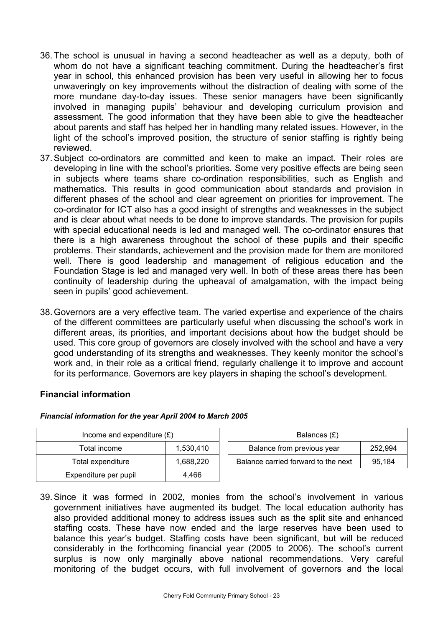- 36. The school is unusual in having a second headteacher as well as a deputy, both of whom do not have a significant teaching commitment. During the headteacher's first year in school, this enhanced provision has been very useful in allowing her to focus unwaveringly on key improvements without the distraction of dealing with some of the more mundane day-to-day issues. These senior managers have been significantly involved in managing pupils' behaviour and developing curriculum provision and assessment. The good information that they have been able to give the headteacher about parents and staff has helped her in handling many related issues. However, in the light of the school's improved position, the structure of senior staffing is rightly being reviewed.
- 37. Subject co-ordinators are committed and keen to make an impact. Their roles are developing in line with the school's priorities. Some very positive effects are being seen in subjects where teams share co-ordination responsibilities, such as English and mathematics. This results in good communication about standards and provision in different phases of the school and clear agreement on priorities for improvement. The co-ordinator for ICT also has a good insight of strengths and weaknesses in the subject and is clear about what needs to be done to improve standards. The provision for pupils with special educational needs is led and managed well. The co-ordinator ensures that there is a high awareness throughout the school of these pupils and their specific problems. Their standards, achievement and the provision made for them are monitored well. There is good leadership and management of religious education and the Foundation Stage is led and managed very well. In both of these areas there has been continuity of leadership during the upheaval of amalgamation, with the impact being seen in pupils' good achievement.
- 38. Governors are a very effective team. The varied expertise and experience of the chairs of the different committees are particularly useful when discussing the school's work in different areas, its priorities, and important decisions about how the budget should be used. This core group of governors are closely involved with the school and have a very good understanding of its strengths and weaknesses. They keenly monitor the school's work and, in their role as a critical friend, regularly challenge it to improve and account for its performance. Governors are key players in shaping the school's development.

#### **Financial information**

| Income and expenditure $(E)$ |           | Balances (£)                        |         |
|------------------------------|-----------|-------------------------------------|---------|
| Total income                 | 1,530,410 | Balance from previous year          | 252.994 |
| Total expenditure            | 1.688.220 | Balance carried forward to the next | 95,184  |
| Expenditure per pupil        | 4.466     |                                     |         |

#### *Financial information for the year April 2004 to March 2005*

39. Since it was formed in 2002, monies from the school's involvement in various government initiatives have augmented its budget. The local education authority has also provided additional money to address issues such as the split site and enhanced staffing costs. These have now ended and the large reserves have been used to balance this year's budget. Staffing costs have been significant, but will be reduced considerably in the forthcoming financial year (2005 to 2006). The school's current surplus is now only marginally above national recommendations. Very careful monitoring of the budget occurs, with full involvement of governors and the local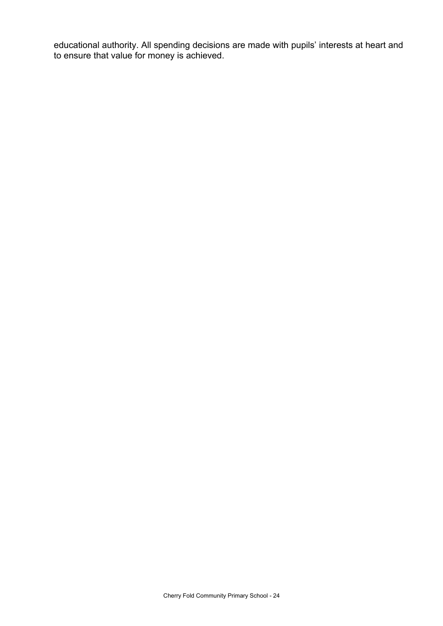educational authority. All spending decisions are made with pupils' interests at heart and to ensure that value for money is achieved.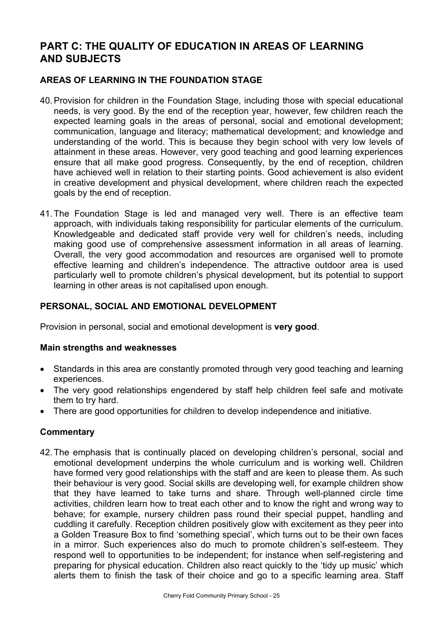# **PART C: THE QUALITY OF EDUCATION IN AREAS OF LEARNING AND SUBJECTS**

### **AREAS OF LEARNING IN THE FOUNDATION STAGE**

- 40. Provision for children in the Foundation Stage, including those with special educational needs, is very good. By the end of the reception year, however, few children reach the expected learning goals in the areas of personal, social and emotional development; communication, language and literacy; mathematical development; and knowledge and understanding of the world. This is because they begin school with very low levels of attainment in these areas. However, very good teaching and good learning experiences ensure that all make good progress. Consequently, by the end of reception, children have achieved well in relation to their starting points. Good achievement is also evident in creative development and physical development, where children reach the expected goals by the end of reception.
- 41. The Foundation Stage is led and managed very well. There is an effective team approach, with individuals taking responsibility for particular elements of the curriculum. Knowledgeable and dedicated staff provide very well for children's needs, including making good use of comprehensive assessment information in all areas of learning. Overall, the very good accommodation and resources are organised well to promote effective learning and children's independence. The attractive outdoor area is used particularly well to promote children's physical development, but its potential to support learning in other areas is not capitalised upon enough.

#### **PERSONAL, SOCIAL AND EMOTIONAL DEVELOPMENT**

Provision in personal, social and emotional development is **very good**.

#### **Main strengths and weaknesses**

- Standards in this area are constantly promoted through very good teaching and learning experiences.
- The very good relationships engendered by staff help children feel safe and motivate them to try hard.
- There are good opportunities for children to develop independence and initiative.

#### **Commentary**

42. The emphasis that is continually placed on developing children's personal, social and emotional development underpins the whole curriculum and is working well. Children have formed very good relationships with the staff and are keen to please them. As such their behaviour is very good. Social skills are developing well, for example children show that they have learned to take turns and share. Through well-planned circle time activities, children learn how to treat each other and to know the right and wrong way to behave; for example, nursery children pass round their special puppet, handling and cuddling it carefully. Reception children positively glow with excitement as they peer into a Golden Treasure Box to find 'something special', which turns out to be their own faces in a mirror. Such experiences also do much to promote children's self-esteem. They respond well to opportunities to be independent; for instance when self-registering and preparing for physical education. Children also react quickly to the 'tidy up music' which alerts them to finish the task of their choice and go to a specific learning area. Staff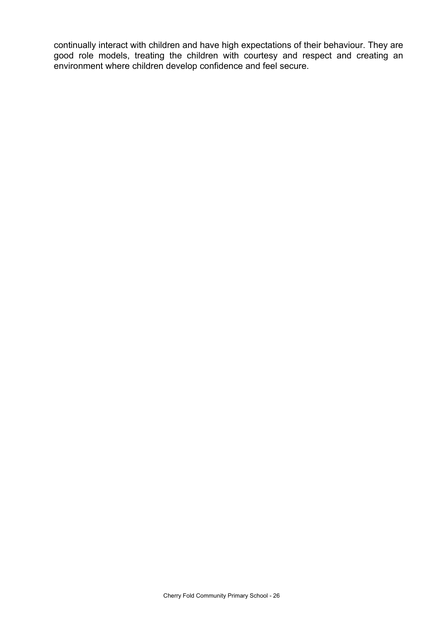continually interact with children and have high expectations of their behaviour. They are good role models, treating the children with courtesy and respect and creating an environment where children develop confidence and feel secure.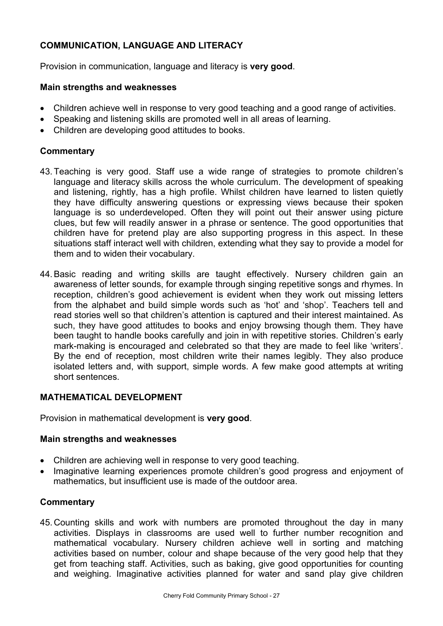# **COMMUNICATION, LANGUAGE AND LITERACY**

Provision in communication, language and literacy is **very good**.

#### **Main strengths and weaknesses**

- Children achieve well in response to very good teaching and a good range of activities.
- Speaking and listening skills are promoted well in all areas of learning.
- Children are developing good attitudes to books.

#### **Commentary**

- 43. Teaching is very good. Staff use a wide range of strategies to promote children's language and literacy skills across the whole curriculum. The development of speaking and listening, rightly, has a high profile. Whilst children have learned to listen quietly they have difficulty answering questions or expressing views because their spoken language is so underdeveloped. Often they will point out their answer using picture clues, but few will readily answer in a phrase or sentence. The good opportunities that children have for pretend play are also supporting progress in this aspect. In these situations staff interact well with children, extending what they say to provide a model for them and to widen their vocabulary.
- 44. Basic reading and writing skills are taught effectively. Nursery children gain an awareness of letter sounds, for example through singing repetitive songs and rhymes. In reception, children's good achievement is evident when they work out missing letters from the alphabet and build simple words such as 'hot' and 'shop'. Teachers tell and read stories well so that children's attention is captured and their interest maintained. As such, they have good attitudes to books and enjoy browsing though them. They have been taught to handle books carefully and join in with repetitive stories. Children's early mark-making is encouraged and celebrated so that they are made to feel like 'writers'. By the end of reception, most children write their names legibly. They also produce isolated letters and, with support, simple words. A few make good attempts at writing short sentences.

# **MATHEMATICAL DEVELOPMENT**

Provision in mathematical development is **very good**.

#### **Main strengths and weaknesses**

- Children are achieving well in response to very good teaching.
- Imaginative learning experiences promote children's good progress and enjoyment of mathematics, but insufficient use is made of the outdoor area.

#### **Commentary**

45. Counting skills and work with numbers are promoted throughout the day in many activities. Displays in classrooms are used well to further number recognition and mathematical vocabulary. Nursery children achieve well in sorting and matching activities based on number, colour and shape because of the very good help that they get from teaching staff. Activities, such as baking, give good opportunities for counting and weighing. Imaginative activities planned for water and sand play give children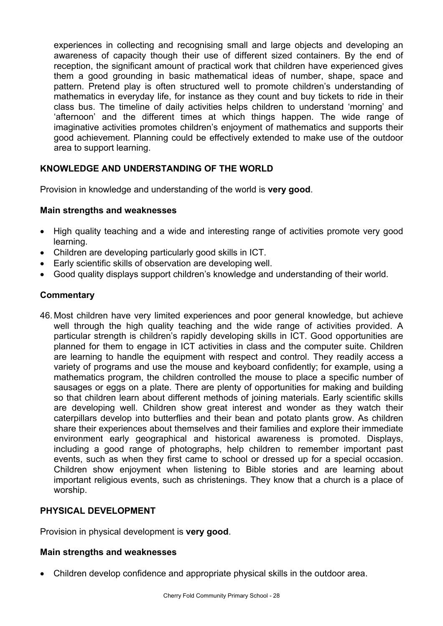experiences in collecting and recognising small and large objects and developing an awareness of capacity though their use of different sized containers. By the end of reception, the significant amount of practical work that children have experienced gives them a good grounding in basic mathematical ideas of number, shape, space and pattern. Pretend play is often structured well to promote children's understanding of mathematics in everyday life, for instance as they count and buy tickets to ride in their class bus. The timeline of daily activities helps children to understand 'morning' and 'afternoon' and the different times at which things happen. The wide range of imaginative activities promotes children's enjoyment of mathematics and supports their good achievement. Planning could be effectively extended to make use of the outdoor area to support learning.

# **KNOWLEDGE AND UNDERSTANDING OF THE WORLD**

Provision in knowledge and understanding of the world is **very good**.

#### **Main strengths and weaknesses**

- High quality teaching and a wide and interesting range of activities promote very good learning.
- Children are developing particularly good skills in ICT.
- Early scientific skills of observation are developing well.
- Good quality displays support children's knowledge and understanding of their world.

#### **Commentary**

46. Most children have very limited experiences and poor general knowledge, but achieve well through the high quality teaching and the wide range of activities provided. A particular strength is children's rapidly developing skills in ICT. Good opportunities are planned for them to engage in ICT activities in class and the computer suite. Children are learning to handle the equipment with respect and control. They readily access a variety of programs and use the mouse and keyboard confidently; for example, using a mathematics program, the children controlled the mouse to place a specific number of sausages or eggs on a plate. There are plenty of opportunities for making and building so that children learn about different methods of joining materials. Early scientific skills are developing well. Children show great interest and wonder as they watch their caterpillars develop into butterflies and their bean and potato plants grow. As children share their experiences about themselves and their families and explore their immediate environment early geographical and historical awareness is promoted. Displays, including a good range of photographs, help children to remember important past events, such as when they first came to school or dressed up for a special occasion. Children show enjoyment when listening to Bible stories and are learning about important religious events, such as christenings. They know that a church is a place of worship.

#### **PHYSICAL DEVELOPMENT**

Provision in physical development is **very good**.

#### **Main strengths and weaknesses**

• Children develop confidence and appropriate physical skills in the outdoor area.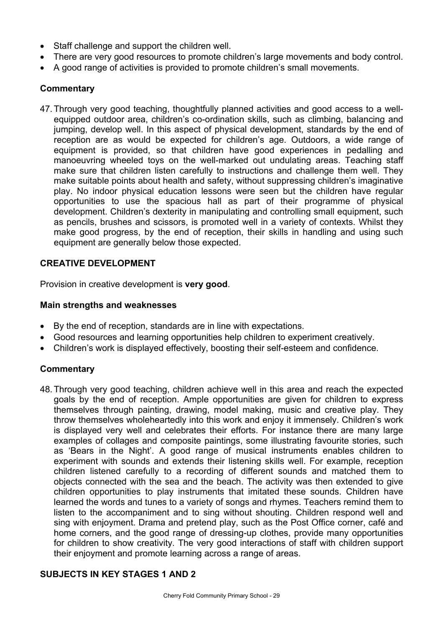- Staff challenge and support the children well.
- There are very good resources to promote children's large movements and body control.
- A good range of activities is provided to promote children's small movements.

#### **Commentary**

47. Through very good teaching, thoughtfully planned activities and good access to a wellequipped outdoor area, children's co-ordination skills, such as climbing, balancing and jumping, develop well. In this aspect of physical development, standards by the end of reception are as would be expected for children's age. Outdoors, a wide range of equipment is provided, so that children have good experiences in pedalling and manoeuvring wheeled toys on the well-marked out undulating areas. Teaching staff make sure that children listen carefully to instructions and challenge them well. They make suitable points about health and safety, without suppressing children's imaginative play. No indoor physical education lessons were seen but the children have regular opportunities to use the spacious hall as part of their programme of physical development. Children's dexterity in manipulating and controlling small equipment, such as pencils, brushes and scissors, is promoted well in a variety of contexts. Whilst they make good progress, by the end of reception, their skills in handling and using such equipment are generally below those expected.

#### **CREATIVE DEVELOPMENT**

Provision in creative development is **very good**.

#### **Main strengths and weaknesses**

- By the end of reception, standards are in line with expectations.
- Good resources and learning opportunities help children to experiment creatively.
- Children's work is displayed effectively, boosting their self-esteem and confidence.

#### **Commentary**

48. Through very good teaching, children achieve well in this area and reach the expected goals by the end of reception. Ample opportunities are given for children to express themselves through painting, drawing, model making, music and creative play. They throw themselves wholeheartedly into this work and enjoy it immensely. Children's work is displayed very well and celebrates their efforts. For instance there are many large examples of collages and composite paintings, some illustrating favourite stories, such as 'Bears in the Night'. A good range of musical instruments enables children to experiment with sounds and extends their listening skills well. For example, reception children listened carefully to a recording of different sounds and matched them to objects connected with the sea and the beach. The activity was then extended to give children opportunities to play instruments that imitated these sounds. Children have learned the words and tunes to a variety of songs and rhymes. Teachers remind them to listen to the accompaniment and to sing without shouting. Children respond well and sing with enjoyment. Drama and pretend play, such as the Post Office corner, café and home corners, and the good range of dressing-up clothes, provide many opportunities for children to show creativity. The very good interactions of staff with children support their enjoyment and promote learning across a range of areas.

# **SUBJECTS IN KEY STAGES 1 AND 2**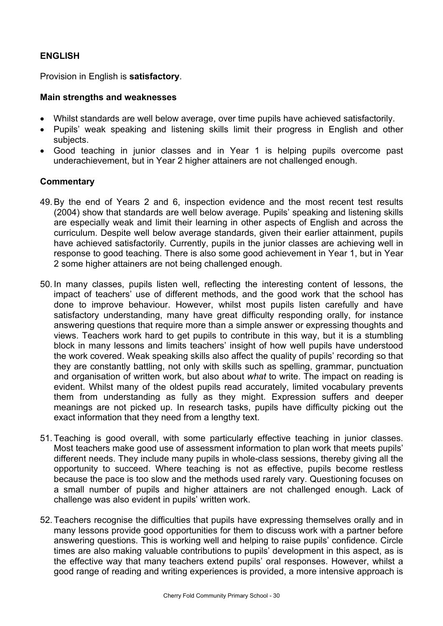# **ENGLISH**

Provision in English is **satisfactory**.

#### **Main strengths and weaknesses**

- Whilst standards are well below average, over time pupils have achieved satisfactorily.
- Pupils' weak speaking and listening skills limit their progress in English and other subjects.
- Good teaching in junior classes and in Year 1 is helping pupils overcome past underachievement, but in Year 2 higher attainers are not challenged enough.

- 49. By the end of Years 2 and 6, inspection evidence and the most recent test results (2004) show that standards are well below average. Pupils' speaking and listening skills are especially weak and limit their learning in other aspects of English and across the curriculum. Despite well below average standards, given their earlier attainment, pupils have achieved satisfactorily. Currently, pupils in the junior classes are achieving well in response to good teaching. There is also some good achievement in Year 1, but in Year 2 some higher attainers are not being challenged enough.
- 50. In many classes, pupils listen well, reflecting the interesting content of lessons, the impact of teachers' use of different methods, and the good work that the school has done to improve behaviour. However, whilst most pupils listen carefully and have satisfactory understanding, many have great difficulty responding orally, for instance answering questions that require more than a simple answer or expressing thoughts and views. Teachers work hard to get pupils to contribute in this way, but it is a stumbling block in many lessons and limits teachers' insight of how well pupils have understood the work covered. Weak speaking skills also affect the quality of pupils' recording so that they are constantly battling, not only with skills such as spelling, grammar, punctuation and organisation of written work, but also about *what* to write. The impact on reading is evident. Whilst many of the oldest pupils read accurately, limited vocabulary prevents them from understanding as fully as they might. Expression suffers and deeper meanings are not picked up. In research tasks, pupils have difficulty picking out the exact information that they need from a lengthy text.
- 51. Teaching is good overall, with some particularly effective teaching in junior classes. Most teachers make good use of assessment information to plan work that meets pupils' different needs. They include many pupils in whole-class sessions, thereby giving all the opportunity to succeed. Where teaching is not as effective, pupils become restless because the pace is too slow and the methods used rarely vary. Questioning focuses on a small number of pupils and higher attainers are not challenged enough. Lack of challenge was also evident in pupils' written work.
- 52. Teachers recognise the difficulties that pupils have expressing themselves orally and in many lessons provide good opportunities for them to discuss work with a partner before answering questions. This is working well and helping to raise pupils' confidence. Circle times are also making valuable contributions to pupils' development in this aspect, as is the effective way that many teachers extend pupils' oral responses. However, whilst a good range of reading and writing experiences is provided, a more intensive approach is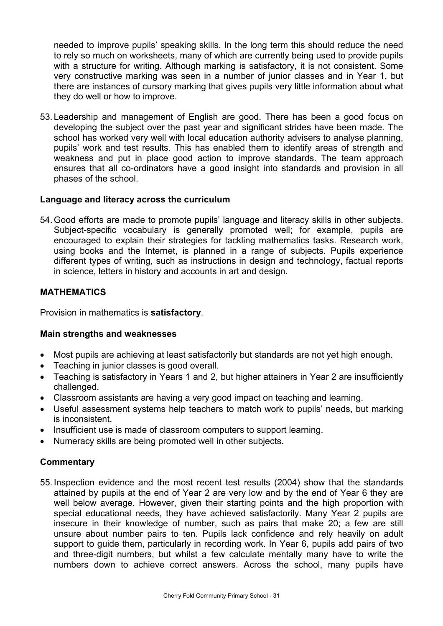needed to improve pupils' speaking skills. In the long term this should reduce the need to rely so much on worksheets, many of which are currently being used to provide pupils with a structure for writing. Although marking is satisfactory, it is not consistent. Some very constructive marking was seen in a number of junior classes and in Year 1, but there are instances of cursory marking that gives pupils very little information about what they do well or how to improve.

53. Leadership and management of English are good. There has been a good focus on developing the subject over the past year and significant strides have been made. The school has worked very well with local education authority advisers to analyse planning, pupils' work and test results. This has enabled them to identify areas of strength and weakness and put in place good action to improve standards. The team approach ensures that all co-ordinators have a good insight into standards and provision in all phases of the school.

#### **Language and literacy across the curriculum**

54. Good efforts are made to promote pupils' language and literacy skills in other subjects. Subject-specific vocabulary is generally promoted well; for example, pupils are encouraged to explain their strategies for tackling mathematics tasks. Research work, using books and the Internet, is planned in a range of subjects. Pupils experience different types of writing, such as instructions in design and technology, factual reports in science, letters in history and accounts in art and design.

#### **MATHEMATICS**

Provision in mathematics is **satisfactory**.

#### **Main strengths and weaknesses**

- Most pupils are achieving at least satisfactorily but standards are not yet high enough.
- Teaching in junior classes is good overall.
- Teaching is satisfactory in Years 1 and 2, but higher attainers in Year 2 are insufficiently challenged.
- Classroom assistants are having a very good impact on teaching and learning.
- Useful assessment systems help teachers to match work to pupils' needs, but marking is inconsistent.
- Insufficient use is made of classroom computers to support learning.
- Numeracy skills are being promoted well in other subjects.

#### **Commentary**

55. Inspection evidence and the most recent test results (2004) show that the standards attained by pupils at the end of Year 2 are very low and by the end of Year 6 they are well below average. However, given their starting points and the high proportion with special educational needs, they have achieved satisfactorily. Many Year 2 pupils are insecure in their knowledge of number, such as pairs that make 20; a few are still unsure about number pairs to ten. Pupils lack confidence and rely heavily on adult support to quide them, particularly in recording work. In Year 6, pupils add pairs of two and three-digit numbers, but whilst a few calculate mentally many have to write the numbers down to achieve correct answers. Across the school, many pupils have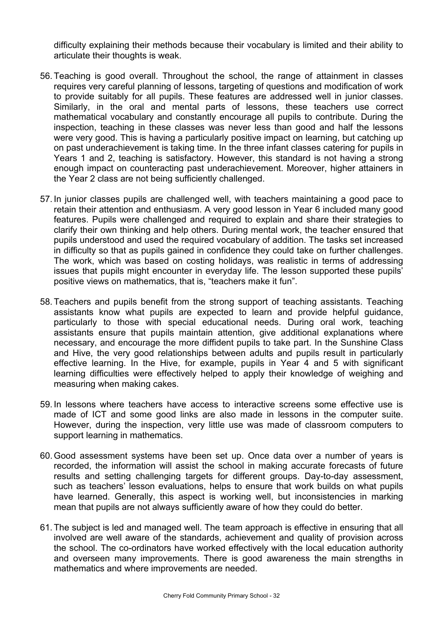difficulty explaining their methods because their vocabulary is limited and their ability to articulate their thoughts is weak.

- 56. Teaching is good overall. Throughout the school, the range of attainment in classes requires very careful planning of lessons, targeting of questions and modification of work to provide suitably for all pupils. These features are addressed well in junior classes. Similarly, in the oral and mental parts of lessons, these teachers use correct mathematical vocabulary and constantly encourage all pupils to contribute. During the inspection, teaching in these classes was never less than good and half the lessons were very good. This is having a particularly positive impact on learning, but catching up on past underachievement is taking time. In the three infant classes catering for pupils in Years 1 and 2, teaching is satisfactory. However, this standard is not having a strong enough impact on counteracting past underachievement. Moreover, higher attainers in the Year 2 class are not being sufficiently challenged.
- 57. In junior classes pupils are challenged well, with teachers maintaining a good pace to retain their attention and enthusiasm. A very good lesson in Year 6 included many good features. Pupils were challenged and required to explain and share their strategies to clarify their own thinking and help others. During mental work, the teacher ensured that pupils understood and used the required vocabulary of addition. The tasks set increased in difficulty so that as pupils gained in confidence they could take on further challenges. The work, which was based on costing holidays, was realistic in terms of addressing issues that pupils might encounter in everyday life. The lesson supported these pupils' positive views on mathematics, that is, "teachers make it fun".
- 58. Teachers and pupils benefit from the strong support of teaching assistants. Teaching assistants know what pupils are expected to learn and provide helpful guidance, particularly to those with special educational needs. During oral work, teaching assistants ensure that pupils maintain attention, give additional explanations where necessary, and encourage the more diffident pupils to take part. In the Sunshine Class and Hive, the very good relationships between adults and pupils result in particularly effective learning. In the Hive, for example, pupils in Year 4 and 5 with significant learning difficulties were effectively helped to apply their knowledge of weighing and measuring when making cakes.
- 59. In lessons where teachers have access to interactive screens some effective use is made of ICT and some good links are also made in lessons in the computer suite. However, during the inspection, very little use was made of classroom computers to support learning in mathematics.
- 60. Good assessment systems have been set up. Once data over a number of years is recorded, the information will assist the school in making accurate forecasts of future results and setting challenging targets for different groups. Day-to-day assessment, such as teachers' lesson evaluations, helps to ensure that work builds on what pupils have learned. Generally, this aspect is working well, but inconsistencies in marking mean that pupils are not always sufficiently aware of how they could do better.
- 61. The subject is led and managed well. The team approach is effective in ensuring that all involved are well aware of the standards, achievement and quality of provision across the school. The co-ordinators have worked effectively with the local education authority and overseen many improvements. There is good awareness the main strengths in mathematics and where improvements are needed.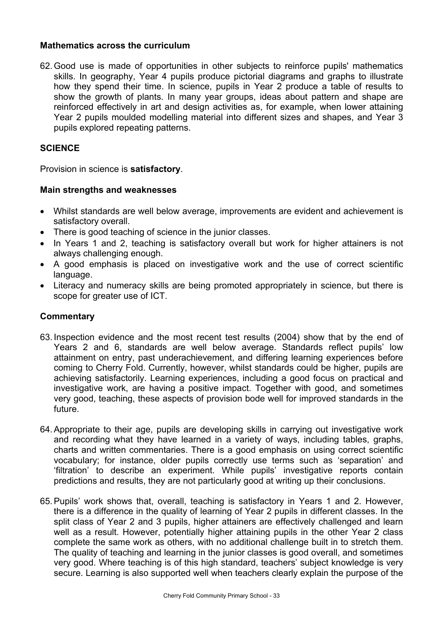#### **Mathematics across the curriculum**

62. Good use is made of opportunities in other subjects to reinforce pupils' mathematics skills. In geography, Year 4 pupils produce pictorial diagrams and graphs to illustrate how they spend their time. In science, pupils in Year 2 produce a table of results to show the growth of plants. In many year groups, ideas about pattern and shape are reinforced effectively in art and design activities as, for example, when lower attaining Year 2 pupils moulded modelling material into different sizes and shapes, and Year 3 pupils explored repeating patterns.

#### **SCIENCE**

Provision in science is **satisfactory**.

#### **Main strengths and weaknesses**

- Whilst standards are well below average, improvements are evident and achievement is satisfactory overall.
- There is good teaching of science in the junior classes.
- In Years 1 and 2, teaching is satisfactory overall but work for higher attainers is not always challenging enough.
- A good emphasis is placed on investigative work and the use of correct scientific language.
- Literacy and numeracy skills are being promoted appropriately in science, but there is scope for greater use of ICT.

- 63. Inspection evidence and the most recent test results (2004) show that by the end of Years 2 and 6, standards are well below average. Standards reflect pupils' low attainment on entry, past underachievement, and differing learning experiences before coming to Cherry Fold. Currently, however, whilst standards could be higher, pupils are achieving satisfactorily. Learning experiences, including a good focus on practical and investigative work, are having a positive impact. Together with good, and sometimes very good, teaching, these aspects of provision bode well for improved standards in the future.
- 64. Appropriate to their age, pupils are developing skills in carrying out investigative work and recording what they have learned in a variety of ways, including tables, graphs, charts and written commentaries. There is a good emphasis on using correct scientific vocabulary; for instance, older pupils correctly use terms such as 'separation' and 'filtration' to describe an experiment. While pupils' investigative reports contain predictions and results, they are not particularly good at writing up their conclusions.
- 65. Pupils' work shows that, overall, teaching is satisfactory in Years 1 and 2. However, there is a difference in the quality of learning of Year 2 pupils in different classes. In the split class of Year 2 and 3 pupils, higher attainers are effectively challenged and learn well as a result. However, potentially higher attaining pupils in the other Year 2 class complete the same work as others, with no additional challenge built in to stretch them. The quality of teaching and learning in the junior classes is good overall, and sometimes very good. Where teaching is of this high standard, teachers' subject knowledge is very secure. Learning is also supported well when teachers clearly explain the purpose of the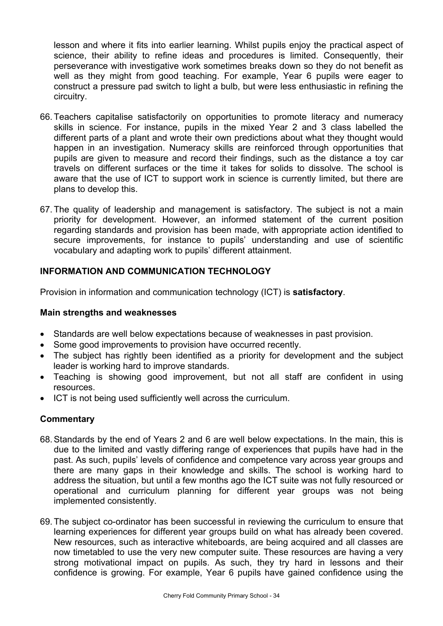lesson and where it fits into earlier learning. Whilst pupils enjoy the practical aspect of science, their ability to refine ideas and procedures is limited. Consequently, their perseverance with investigative work sometimes breaks down so they do not benefit as well as they might from good teaching. For example, Year 6 pupils were eager to construct a pressure pad switch to light a bulb, but were less enthusiastic in refining the circuitry.

- 66. Teachers capitalise satisfactorily on opportunities to promote literacy and numeracy skills in science. For instance, pupils in the mixed Year 2 and 3 class labelled the different parts of a plant and wrote their own predictions about what they thought would happen in an investigation. Numeracy skills are reinforced through opportunities that pupils are given to measure and record their findings, such as the distance a toy car travels on different surfaces or the time it takes for solids to dissolve. The school is aware that the use of ICT to support work in science is currently limited, but there are plans to develop this.
- 67. The quality of leadership and management is satisfactory. The subject is not a main priority for development. However, an informed statement of the current position regarding standards and provision has been made, with appropriate action identified to secure improvements, for instance to pupils' understanding and use of scientific vocabulary and adapting work to pupils' different attainment.

#### **INFORMATION AND COMMUNICATION TECHNOLOGY**

Provision in information and communication technology (ICT) is **satisfactory**.

#### **Main strengths and weaknesses**

- Standards are well below expectations because of weaknesses in past provision.
- Some good improvements to provision have occurred recently.
- The subject has rightly been identified as a priority for development and the subject leader is working hard to improve standards.
- Teaching is showing good improvement, but not all staff are confident in using resources.
- ICT is not being used sufficiently well across the curriculum.

- 68. Standards by the end of Years 2 and 6 are well below expectations. In the main, this is due to the limited and vastly differing range of experiences that pupils have had in the past. As such, pupils' levels of confidence and competence vary across year groups and there are many gaps in their knowledge and skills. The school is working hard to address the situation, but until a few months ago the ICT suite was not fully resourced or operational and curriculum planning for different year groups was not being implemented consistently.
- 69. The subject co-ordinator has been successful in reviewing the curriculum to ensure that learning experiences for different year groups build on what has already been covered. New resources, such as interactive whiteboards, are being acquired and all classes are now timetabled to use the very new computer suite. These resources are having a very strong motivational impact on pupils. As such, they try hard in lessons and their confidence is growing. For example, Year 6 pupils have gained confidence using the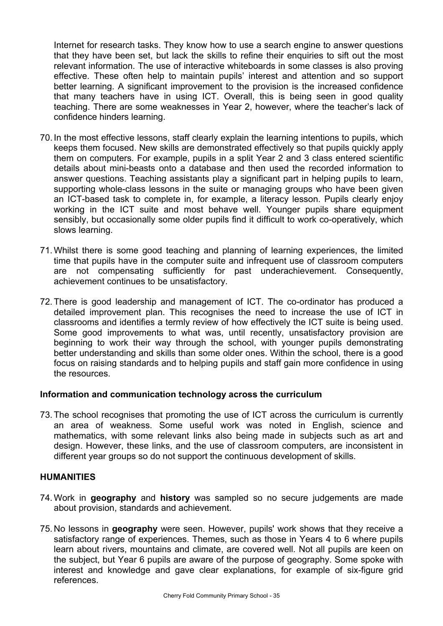Internet for research tasks. They know how to use a search engine to answer questions that they have been set, but lack the skills to refine their enquiries to sift out the most relevant information. The use of interactive whiteboards in some classes is also proving effective. These often help to maintain pupils' interest and attention and so support better learning. A significant improvement to the provision is the increased confidence that many teachers have in using ICT. Overall, this is being seen in good quality teaching. There are some weaknesses in Year 2, however, where the teacher's lack of confidence hinders learning.

- 70. In the most effective lessons, staff clearly explain the learning intentions to pupils, which keeps them focused. New skills are demonstrated effectively so that pupils quickly apply them on computers. For example, pupils in a split Year 2 and 3 class entered scientific details about mini-beasts onto a database and then used the recorded information to answer questions. Teaching assistants play a significant part in helping pupils to learn, supporting whole-class lessons in the suite or managing groups who have been given an ICT-based task to complete in, for example, a literacy lesson. Pupils clearly enjoy working in the ICT suite and most behave well. Younger pupils share equipment sensibly, but occasionally some older pupils find it difficult to work co-operatively, which slows learning.
- 71. Whilst there is some good teaching and planning of learning experiences, the limited time that pupils have in the computer suite and infrequent use of classroom computers are not compensating sufficiently for past underachievement. Consequently, achievement continues to be unsatisfactory.
- 72. There is good leadership and management of ICT. The co-ordinator has produced a detailed improvement plan. This recognises the need to increase the use of ICT in classrooms and identifies a termly review of how effectively the ICT suite is being used. Some good improvements to what was, until recently, unsatisfactory provision are beginning to work their way through the school, with younger pupils demonstrating better understanding and skills than some older ones. Within the school, there is a good focus on raising standards and to helping pupils and staff gain more confidence in using the resources.

#### **Information and communication technology across the curriculum**

73. The school recognises that promoting the use of ICT across the curriculum is currently an area of weakness. Some useful work was noted in English, science and mathematics, with some relevant links also being made in subjects such as art and design. However, these links, and the use of classroom computers, are inconsistent in different year groups so do not support the continuous development of skills.

#### **HUMANITIES**

- 74. Work in **geography** and **history** was sampled so no secure judgements are made about provision, standards and achievement.
- 75. No lessons in **geography** were seen. However, pupils' work shows that they receive a satisfactory range of experiences. Themes, such as those in Years 4 to 6 where pupils learn about rivers, mountains and climate, are covered well. Not all pupils are keen on the subject, but Year 6 pupils are aware of the purpose of geography. Some spoke with interest and knowledge and gave clear explanations, for example of six-figure grid references.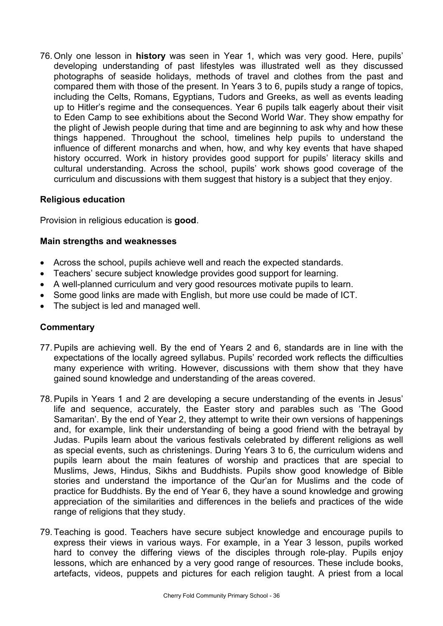76. Only one lesson in **history** was seen in Year 1, which was very good. Here, pupils' developing understanding of past lifestyles was illustrated well as they discussed photographs of seaside holidays, methods of travel and clothes from the past and compared them with those of the present. In Years 3 to 6, pupils study a range of topics, including the Celts, Romans, Egyptians, Tudors and Greeks, as well as events leading up to Hitler's regime and the consequences. Year 6 pupils talk eagerly about their visit to Eden Camp to see exhibitions about the Second World War. They show empathy for the plight of Jewish people during that time and are beginning to ask why and how these things happened. Throughout the school, timelines help pupils to understand the influence of different monarchs and when, how, and why key events that have shaped history occurred. Work in history provides good support for pupils' literacy skills and cultural understanding. Across the school, pupils' work shows good coverage of the curriculum and discussions with them suggest that history is a subject that they enjoy.

#### **Religious education**

Provision in religious education is **good**.

#### **Main strengths and weaknesses**

- Across the school, pupils achieve well and reach the expected standards.
- Teachers' secure subject knowledge provides good support for learning.
- A well-planned curriculum and very good resources motivate pupils to learn.
- Some good links are made with English, but more use could be made of ICT.
- The subject is led and managed well.

- 77. Pupils are achieving well. By the end of Years 2 and 6, standards are in line with the expectations of the locally agreed syllabus. Pupils' recorded work reflects the difficulties many experience with writing. However, discussions with them show that they have gained sound knowledge and understanding of the areas covered.
- 78. Pupils in Years 1 and 2 are developing a secure understanding of the events in Jesus' life and sequence, accurately, the Easter story and parables such as 'The Good Samaritan'. By the end of Year 2, they attempt to write their own versions of happenings and, for example, link their understanding of being a good friend with the betrayal by Judas. Pupils learn about the various festivals celebrated by different religions as well as special events, such as christenings. During Years 3 to 6, the curriculum widens and pupils learn about the main features of worship and practices that are special to Muslims, Jews, Hindus, Sikhs and Buddhists. Pupils show good knowledge of Bible stories and understand the importance of the Qur'an for Muslims and the code of practice for Buddhists. By the end of Year 6, they have a sound knowledge and growing appreciation of the similarities and differences in the beliefs and practices of the wide range of religions that they study.
- 79. Teaching is good. Teachers have secure subject knowledge and encourage pupils to express their views in various ways. For example, in a Year 3 lesson, pupils worked hard to convey the differing views of the disciples through role-play. Pupils enjoy lessons, which are enhanced by a very good range of resources. These include books, artefacts, videos, puppets and pictures for each religion taught. A priest from a local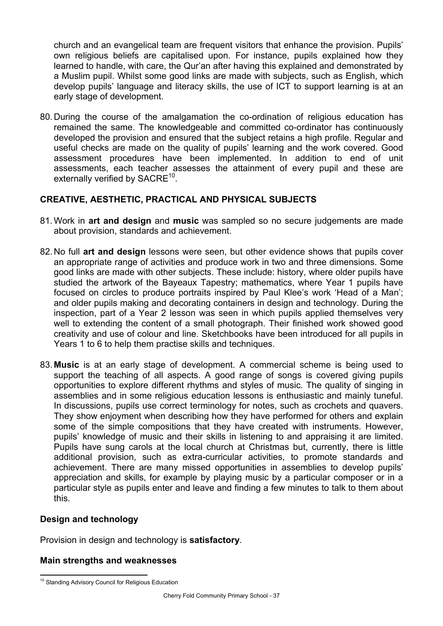church and an evangelical team are frequent visitors that enhance the provision. Pupils' own religious beliefs are capitalised upon. For instance, pupils explained how they learned to handle, with care, the Qur'an after having this explained and demonstrated by a Muslim pupil. Whilst some good links are made with subjects, such as English, which develop pupils' language and literacy skills, the use of ICT to support learning is at an early stage of development.

80. During the course of the amalgamation the co-ordination of religious education has remained the same. The knowledgeable and committed co-ordinator has continuously developed the provision and ensured that the subject retains a high profile. Regular and useful checks are made on the quality of pupils' learning and the work covered. Good assessment procedures have been implemented. In addition to end of unit assessments, each teacher assesses the attainment of every pupil and these are externally verified by SACRE<sup>10</sup>.

# **CREATIVE, AESTHETIC, PRACTICAL AND PHYSICAL SUBJECTS**

- 81. Work in **art and design** and **music** was sampled so no secure judgements are made about provision, standards and achievement.
- 82. No full **art and design** lessons were seen, but other evidence shows that pupils cover an appropriate range of activities and produce work in two and three dimensions. Some good links are made with other subjects. These include: history, where older pupils have studied the artwork of the Bayeaux Tapestry; mathematics, where Year 1 pupils have focused on circles to produce portraits inspired by Paul Klee's work 'Head of a Man'; and older pupils making and decorating containers in design and technology. During the inspection, part of a Year 2 lesson was seen in which pupils applied themselves very well to extending the content of a small photograph. Their finished work showed good creativity and use of colour and line. Sketchbooks have been introduced for all pupils in Years 1 to 6 to help them practise skills and techniques.
- 83. **Music** is at an early stage of development. A commercial scheme is being used to support the teaching of all aspects. A good range of songs is covered giving pupils opportunities to explore different rhythms and styles of music. The quality of singing in assemblies and in some religious education lessons is enthusiastic and mainly tuneful. In discussions, pupils use correct terminology for notes, such as crochets and quavers. They show enjoyment when describing how they have performed for others and explain some of the simple compositions that they have created with instruments. However, pupils' knowledge of music and their skills in listening to and appraising it are limited. Pupils have sung carols at the local church at Christmas but, currently, there is little additional provision, such as extra-curricular activities, to promote standards and achievement. There are many missed opportunities in assemblies to develop pupils' appreciation and skills, for example by playing music by a particular composer or in a particular style as pupils enter and leave and finding a few minutes to talk to them about this.

#### **Design and technology**

Provision in design and technology is **satisfactory**.

#### **Main strengths and weaknesses**

l <sup>10</sup> Standing Advisory Council for Religious Education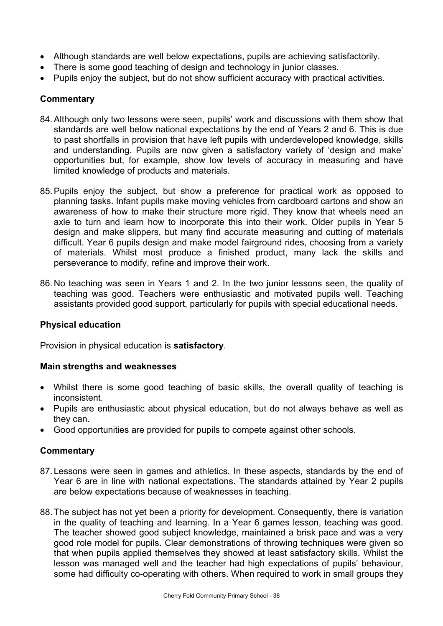- Although standards are well below expectations, pupils are achieving satisfactorily.
- There is some good teaching of design and technology in junior classes.
- Pupils enjoy the subject, but do not show sufficient accuracy with practical activities.

# **Commentary**

- 84. Although only two lessons were seen, pupils' work and discussions with them show that standards are well below national expectations by the end of Years 2 and 6. This is due to past shortfalls in provision that have left pupils with underdeveloped knowledge, skills and understanding. Pupils are now given a satisfactory variety of 'design and make' opportunities but, for example, show low levels of accuracy in measuring and have limited knowledge of products and materials.
- 85. Pupils enjoy the subject, but show a preference for practical work as opposed to planning tasks. Infant pupils make moving vehicles from cardboard cartons and show an awareness of how to make their structure more rigid. They know that wheels need an axle to turn and learn how to incorporate this into their work. Older pupils in Year 5 design and make slippers, but many find accurate measuring and cutting of materials difficult. Year 6 pupils design and make model fairground rides, choosing from a variety of materials. Whilst most produce a finished product, many lack the skills and perseverance to modify, refine and improve their work.
- 86. No teaching was seen in Years 1 and 2. In the two junior lessons seen, the quality of teaching was good. Teachers were enthusiastic and motivated pupils well. Teaching assistants provided good support, particularly for pupils with special educational needs.

# **Physical education**

Provision in physical education is **satisfactory**.

#### **Main strengths and weaknesses**

- Whilst there is some good teaching of basic skills, the overall quality of teaching is inconsistent.
- Pupils are enthusiastic about physical education, but do not always behave as well as they can.
- Good opportunities are provided for pupils to compete against other schools.

- 87. Lessons were seen in games and athletics. In these aspects, standards by the end of Year 6 are in line with national expectations. The standards attained by Year 2 pupils are below expectations because of weaknesses in teaching.
- 88. The subject has not yet been a priority for development. Consequently, there is variation in the quality of teaching and learning. In a Year 6 games lesson, teaching was good. The teacher showed good subject knowledge, maintained a brisk pace and was a very good role model for pupils. Clear demonstrations of throwing techniques were given so that when pupils applied themselves they showed at least satisfactory skills. Whilst the lesson was managed well and the teacher had high expectations of pupils' behaviour, some had difficulty co-operating with others. When required to work in small groups they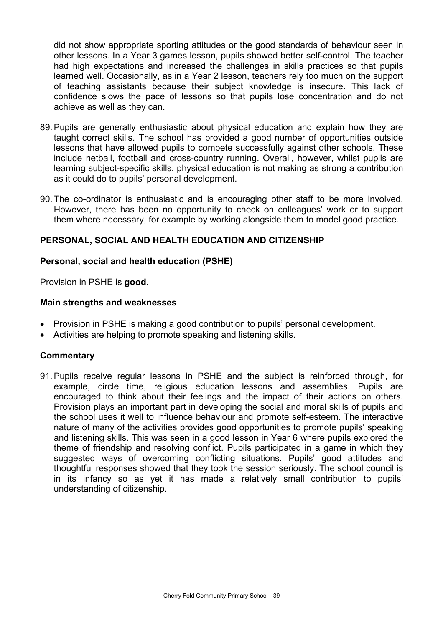did not show appropriate sporting attitudes or the good standards of behaviour seen in other lessons. In a Year 3 games lesson, pupils showed better self-control. The teacher had high expectations and increased the challenges in skills practices so that pupils learned well. Occasionally, as in a Year 2 lesson, teachers rely too much on the support of teaching assistants because their subject knowledge is insecure. This lack of confidence slows the pace of lessons so that pupils lose concentration and do not achieve as well as they can.

- 89. Pupils are generally enthusiastic about physical education and explain how they are taught correct skills. The school has provided a good number of opportunities outside lessons that have allowed pupils to compete successfully against other schools. These include netball, football and cross-country running. Overall, however, whilst pupils are learning subject-specific skills, physical education is not making as strong a contribution as it could do to pupils' personal development.
- 90. The co-ordinator is enthusiastic and is encouraging other staff to be more involved. However, there has been no opportunity to check on colleagues' work or to support them where necessary, for example by working alongside them to model good practice.

#### **PERSONAL, SOCIAL AND HEALTH EDUCATION AND CITIZENSHIP**

#### **Personal, social and health education (PSHE)**

Provision in PSHE is **good**.

#### **Main strengths and weaknesses**

- Provision in PSHE is making a good contribution to pupils' personal development.
- Activities are helping to promote speaking and listening skills.

#### **Commentary**

91. Pupils receive regular lessons in PSHE and the subject is reinforced through, for example, circle time, religious education lessons and assemblies. Pupils are encouraged to think about their feelings and the impact of their actions on others. Provision plays an important part in developing the social and moral skills of pupils and the school uses it well to influence behaviour and promote self-esteem. The interactive nature of many of the activities provides good opportunities to promote pupils' speaking and listening skills. This was seen in a good lesson in Year 6 where pupils explored the theme of friendship and resolving conflict. Pupils participated in a game in which they suggested ways of overcoming conflicting situations. Pupils' good attitudes and thoughtful responses showed that they took the session seriously. The school council is in its infancy so as yet it has made a relatively small contribution to pupils' understanding of citizenship.